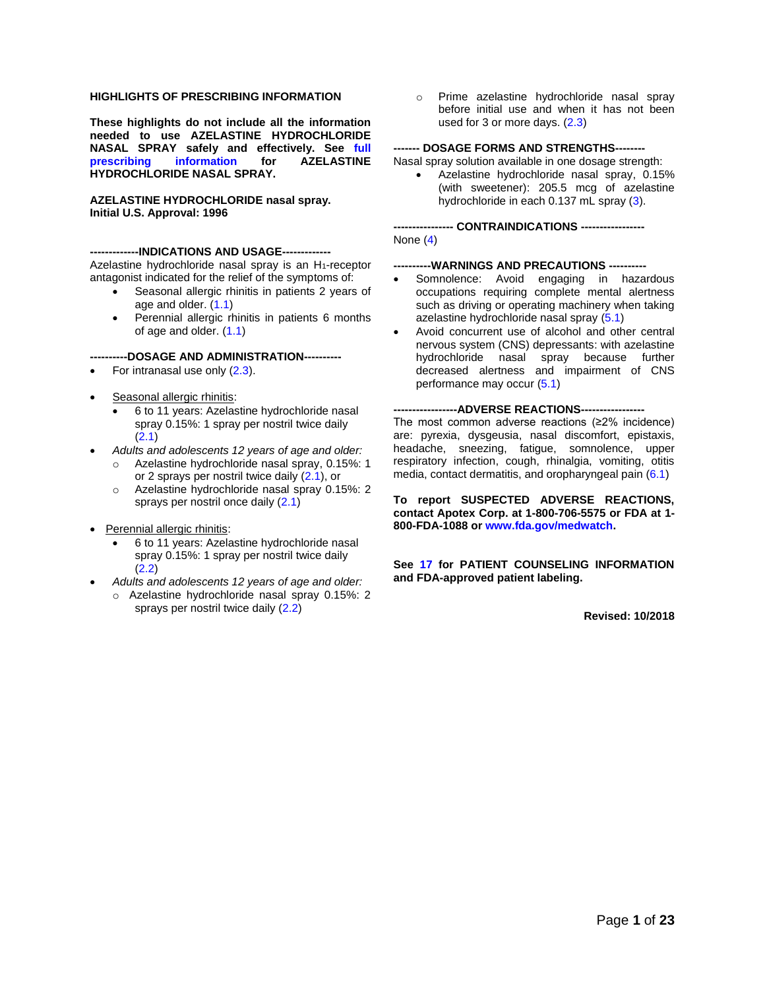#### **HIGHLIGHTS OF PRESCRIBING INFORMATION**

**These highlights do not include all the information needed to use AZELASTINE HYDROCHLORIDE NASAL SPRAY safely and effectively. See [full](#page-1-0)  [prescribing information](#page-1-0) for AZELASTINE HYDROCHLORIDE NASAL SPRAY.**

#### **AZELASTINE HYDROCHLORIDE nasal spray. Initial U.S. Approval: 1996**

#### --INDICATIONS AND USAGE---

Azelastine hydrochloride nasal spray is an H<sub>1</sub>-receptor antagonist indicated for the relief of the symptoms of:

- Seasonal allergic rhinitis in patients 2 years of age and older. [\(1.1\)](#page-2-0)
- Perennial allergic rhinitis in patients 6 months of age and older. [\(1.1\)](#page-2-0)

#### **----------DOSAGE AND ADMINISTRATION----------**

- For intranasal use only [\(2.3\)](#page-2-1).
- Seasonal allergic rhinitis:
	- 6 to 11 years: Azelastine hydrochloride nasal spray 0.15%: 1 spray per nostril twice daily [\(2.1\)](#page-2-2)
- *Adults and adolescents 12 years of age and older:*
	- o Azelastine hydrochloride nasal spray, 0.15%: 1 or 2 sprays per nostril twice daily [\(2.1\)](#page-2-2), or
		- o Azelastine hydrochloride nasal spray 0.15%: 2 sprays per nostril once daily [\(2.1\)](#page-2-2)
- Perennial allergic rhinitis:
	- 6 to 11 years: Azelastine hydrochloride nasal spray 0.15%: 1 spray per nostril twice daily [\(2.2\)](#page-2-3)
- *Adults and adolescents 12 years of age and older:*
	- o Azelastine hydrochloride nasal spray 0.15%: 2 sprays per nostril twice daily [\(2.2\)](#page-2-3)

o Prime azelastine hydrochloride nasal spray before initial use and when it has not been used for 3 or more days. [\(2.3\)](#page-2-1)

#### **------- DOSAGE FORMS AND STRENGTHS--------**

Nasal spray solution available in one dosage strength:

• Azelastine hydrochloride nasal spray, 0.15% (with sweetener): 205.5 mcg of azelastine hydrochloride in each 0.137 mL spray [\(3\)](#page-2-4).

**---------------- CONTRAINDICATIONS -----------------** None [\(4\)](#page-2-5)

#### **---WARNINGS AND PRECAUTIONS ---**

- Somnolence: Avoid engaging in hazardous occupations requiring complete mental alertness such as driving or operating machinery when taking azelastine hydrochloride nasal spray [\(5.1\)](#page-2-6)
- Avoid concurrent use of alcohol and other central nervous system (CNS) depressants: with azelastine hydrochloride nasal spray because further decreased alertness and impairment of CNS performance may occur [\(5.1\)](#page-2-6)

#### --ADVERSE REACTIONS---

The most common adverse reactions (≥2% incidence) are: pyrexia, dysgeusia, nasal discomfort, epistaxis, headache, sneezing, fatigue, somnolence, upper respiratory infection, cough, rhinalgia, vomiting, otitis media, contact dermatitis, and oropharyngeal pain [\(6.1\)](#page-3-0)

**To report SUSPECTED ADVERSE REACTIONS, contact Apotex Corp. at 1-800-706-5575 or FDA at 1- 800-FDA-1088 o[r www.fda.gov/medwatch.](http://www.fda.gov/medwatch)**

**See [17](#page-14-0) for PATIENT COUNSELING INFORMATION and FDA-approved patient labeling.**

**Revised: 10/2018**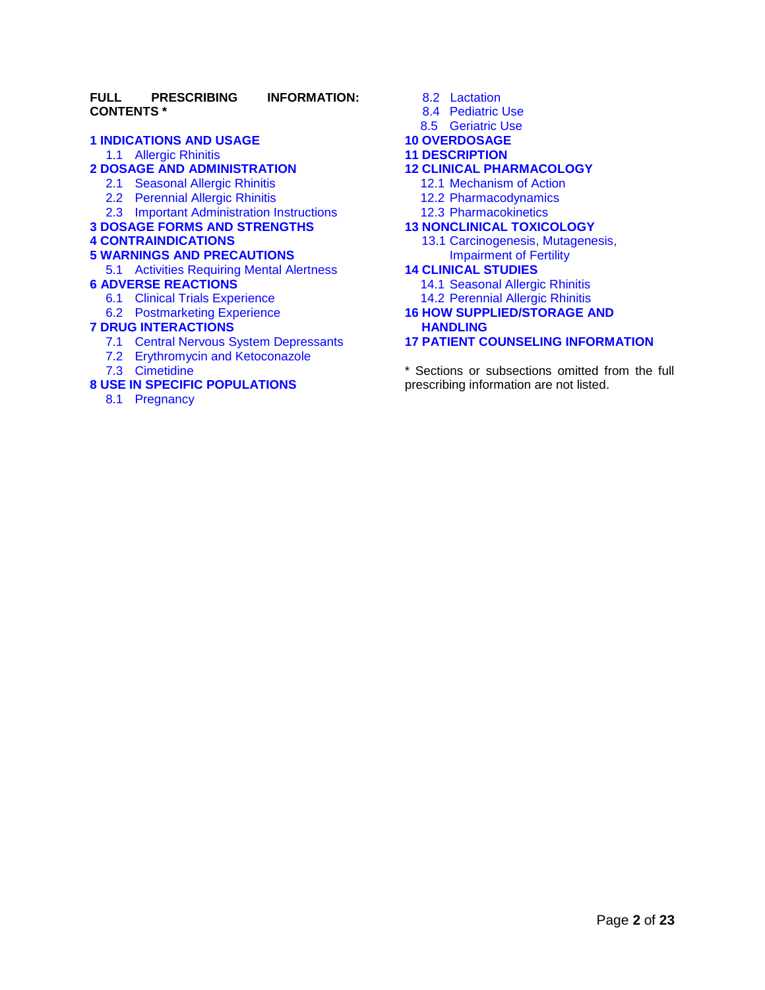### **FULL PRESCRIBING INFORMATION: CONTENTS \***

#### **[1 INDICATIONS AND USAGE](#page-2-7)**

[1.1 Allergic Rhinitis](#page-2-0)

# **[2 DOSAGE AND ADMINISTRATION](#page-2-8)**

- [2.1 Seasonal Allergic Rhinitis](#page-2-2)
- [2.2 Perennial Allergic Rhinitis](#page-2-3)
- 2.3 [Important Administration Instructions](#page-2-1)
- **[3 DOSAGE FORMS AND STRENGTHS](#page-2-4)**

#### **[4 CONTRAINDICATIONS](#page-2-5)**

#### **[5 WARNINGS AND PRECAUTIONS](#page-2-9)**

[5.1 Activities Requiring Mental Alertness](#page-2-6)

### **[6 ADVERSE REACTIONS](#page-3-1)**

- [6.1 Clinical Trials Experience](#page-3-0)
- [6.2 Postmarketing Experience](#page-5-0)

### **[7 DRUG INTERACTIONS](#page-5-1)**

- [7.1 Central Nervous System Depressants](#page-5-2)
- [7.2 Erythromycin and Ketoconazole](#page-5-3)
- [7.3 Cimetidine](#page-6-0)

### **[8 USE IN SPECIFIC POPULATIONS](#page-6-1)**

<span id="page-1-0"></span>[8.1 Pregnancy](#page-6-2)

# [8.2 Lactation](#page-7-0)

- [8.4 Pediatric Use](#page-7-1)
- [8.5 Geriatric Use](#page-7-2)
- **[10 OVERDOSAGE](#page-7-3)**

### **[11 DESCRIPTION](#page-8-0)**

### **[12 CLINICAL PHARMACOLOGY](#page-8-1)**

- [12.1 Mechanism of Action](#page-8-2)
- [12.2 Pharmacodynamics](#page-8-3)
- [12.3 Pharmacokinetics](#page-9-0)

#### **[13 NONCLINICAL TOXICOLOGY](#page-10-0)**

[13.1 Carcinogenesis,](#page-10-1) Mutagenesis, [Impairment of Fertility](#page-10-1)

#### **[14 CLINICAL STUDIES](#page-10-2)**

- [14.1 Seasonal Allergic Rhinitis](#page-10-3)
- 14.2 [Perennial Allergic Rhinitis](#page-13-0)

### **[16 HOW SUPPLIED/STORAGE AND](#page-14-1)  [HANDLING](#page-14-1)**

# **[17 PATIENT COUNSELING INFORMATION](#page-14-0)**

[\\*](http://dailymed.nlm.nih.gov/dailymed/drugInfo.cfm?id=8375#footnote-reference-content#footnote-reference-content) Sections or subsections omitted from the full prescribing information are not listed.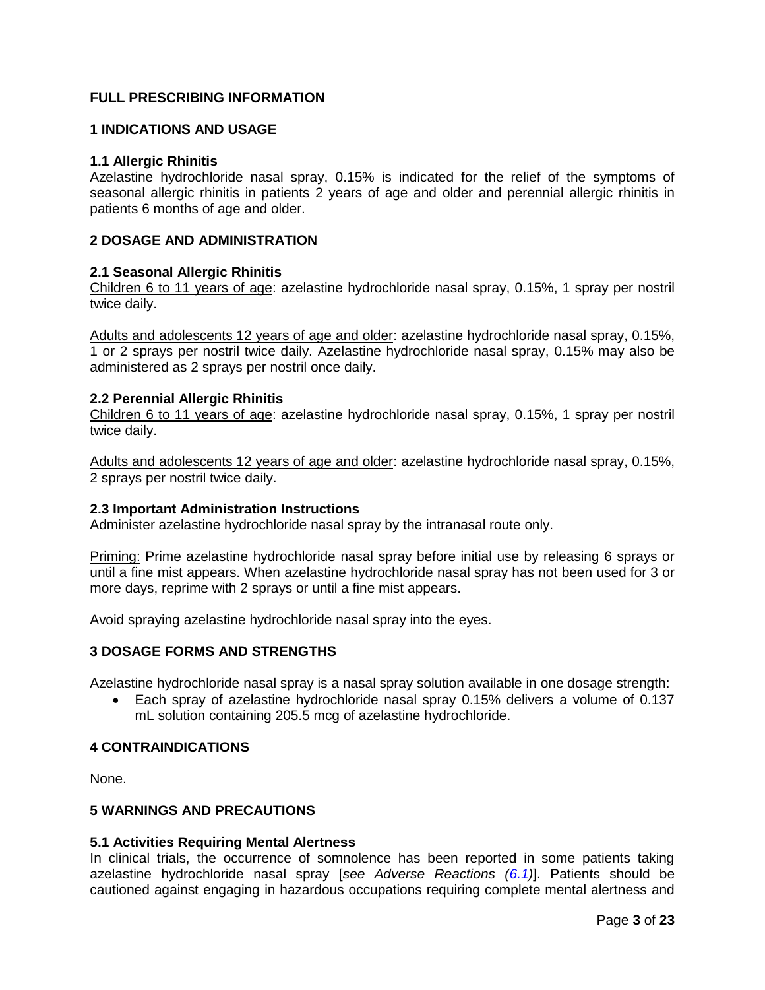# **FULL PRESCRIBING INFORMATION**

# <span id="page-2-7"></span>**1 INDICATIONS AND USAGE**

### <span id="page-2-0"></span>**1.1 Allergic Rhinitis**

Azelastine hydrochloride nasal spray, 0.15% is indicated for the relief of the symptoms of seasonal allergic rhinitis in patients 2 years of age and older and perennial allergic rhinitis in patients 6 months of age and older.

# <span id="page-2-8"></span>**2 DOSAGE AND ADMINISTRATION**

# <span id="page-2-2"></span>**2.1 Seasonal Allergic Rhinitis**

Children 6 to 11 years of age: azelastine hydrochloride nasal spray, 0.15%, 1 spray per nostril twice daily.

Adults and adolescents 12 years of age and older: azelastine hydrochloride nasal spray, 0.15%, 1 or 2 sprays per nostril twice daily. Azelastine hydrochloride nasal spray, 0.15% may also be administered as 2 sprays per nostril once daily.

### <span id="page-2-3"></span>**2.2 Perennial Allergic Rhinitis**

Children 6 to 11 years of age: azelastine hydrochloride nasal spray, 0.15%, 1 spray per nostril twice daily.

Adults and adolescents 12 years of age and older: azelastine hydrochloride nasal spray, 0.15%, 2 sprays per nostril twice daily.

# <span id="page-2-1"></span>**2.3 Important Administration Instructions**

Administer azelastine hydrochloride nasal spray by the intranasal route only.

Priming: Prime azelastine hydrochloride nasal spray before initial use by releasing 6 sprays or until a fine mist appears. When azelastine hydrochloride nasal spray has not been used for 3 or more days, reprime with 2 sprays or until a fine mist appears.

Avoid spraying azelastine hydrochloride nasal spray into the eyes.

# <span id="page-2-4"></span>**3 DOSAGE FORMS AND STRENGTHS**

Azelastine hydrochloride nasal spray is a nasal spray solution available in one dosage strength:

• Each spray of azelastine hydrochloride nasal spray 0.15% delivers a volume of 0.137 mL solution containing 205.5 mcg of azelastine hydrochloride.

### <span id="page-2-5"></span>**4 CONTRAINDICATIONS**

None.

# <span id="page-2-9"></span>**5 WARNINGS AND PRECAUTIONS**

#### <span id="page-2-6"></span>**5.1 Activities Requiring Mental Alertness**

In clinical trials, the occurrence of somnolence has been reported in some patients taking azelastine hydrochloride nasal spray [*see Adverse Reactions [\(6.1\)](#page-3-0)*]. Patients should be cautioned against engaging in hazardous occupations requiring complete mental alertness and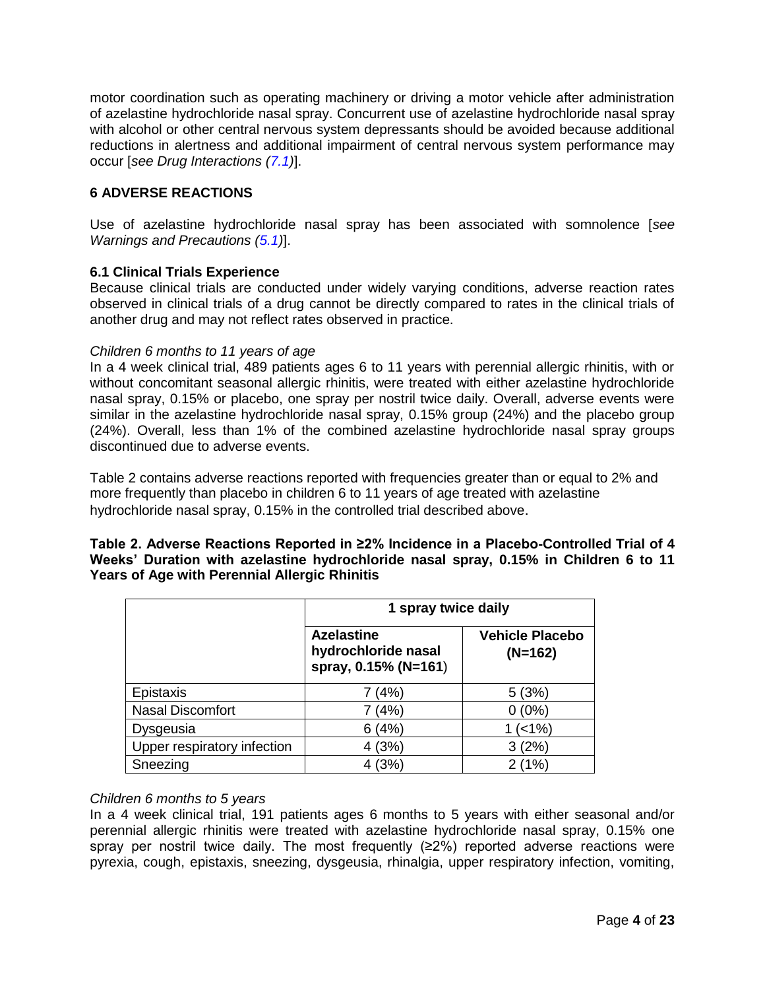motor coordination such as operating machinery or driving a motor vehicle after administration of azelastine hydrochloride nasal spray. Concurrent use of azelastine hydrochloride nasal spray with alcohol or other central nervous system depressants should be avoided because additional reductions in alertness and additional impairment of central nervous system performance may occur [*see Drug Interactions [\(7.1\)](#page-5-2)*].

# <span id="page-3-1"></span>**6 ADVERSE REACTIONS**

Use of azelastine hydrochloride nasal spray has been associated with somnolence [*see Warnings and Precautions [\(5.1\)](#page-2-6)*].

# <span id="page-3-0"></span>**6.1 Clinical Trials Experience**

Because clinical trials are conducted under widely varying conditions, adverse reaction rates observed in clinical trials of a drug cannot be directly compared to rates in the clinical trials of another drug and may not reflect rates observed in practice.

# *Children 6 months to 11 years of age*

In a 4 week clinical trial, 489 patients ages 6 to 11 years with perennial allergic rhinitis, with or without concomitant seasonal allergic rhinitis, were treated with either azelastine hydrochloride nasal spray, 0.15% or placebo, one spray per nostril twice daily. Overall, adverse events were similar in the azelastine hydrochloride nasal spray, 0.15% group (24%) and the placebo group (24%). Overall, less than 1% of the combined azelastine hydrochloride nasal spray groups discontinued due to adverse events.

Table 2 contains adverse reactions reported with frequencies greater than or equal to 2% and more frequently than placebo in children 6 to 11 years of age treated with azelastine hydrochloride nasal spray, 0.15% in the controlled trial described above.

| Table 2. Adverse Reactions Reported in ≥2% Incidence in a Placebo-Controlled Trial of 4 |  |
|-----------------------------------------------------------------------------------------|--|
| Weeks' Duration with azelastine hydrochloride nasal spray, 0.15% in Children 6 to 11    |  |
| <b>Years of Age with Perennial Allergic Rhinitis</b>                                    |  |

|                             | 1 spray twice daily                                              |                                     |  |  |  |  |  |
|-----------------------------|------------------------------------------------------------------|-------------------------------------|--|--|--|--|--|
|                             | <b>Azelastine</b><br>hydrochloride nasal<br>spray, 0.15% (N=161) | <b>Vehicle Placebo</b><br>$(N=162)$ |  |  |  |  |  |
| Epistaxis                   | 7 (4%)                                                           | 5(3%)                               |  |  |  |  |  |
| <b>Nasal Discomfort</b>     | 7(4%)                                                            | $0(0\%)$                            |  |  |  |  |  |
| Dysgeusia                   | 6(4%)                                                            | (<1%)                               |  |  |  |  |  |
| Upper respiratory infection | 4(3%)                                                            | 3(2%)                               |  |  |  |  |  |
| Sneezing                    | 4(3%)                                                            | 2(1%)                               |  |  |  |  |  |

# *Children 6 months to 5 years*

In a 4 week clinical trial, 191 patients ages 6 months to 5 years with either seasonal and/or perennial allergic rhinitis were treated with azelastine hydrochloride nasal spray, 0.15% one spray per nostril twice daily. The most frequently (≥2%) reported adverse reactions were pyrexia, cough, epistaxis, sneezing, dysgeusia, rhinalgia, upper respiratory infection, vomiting,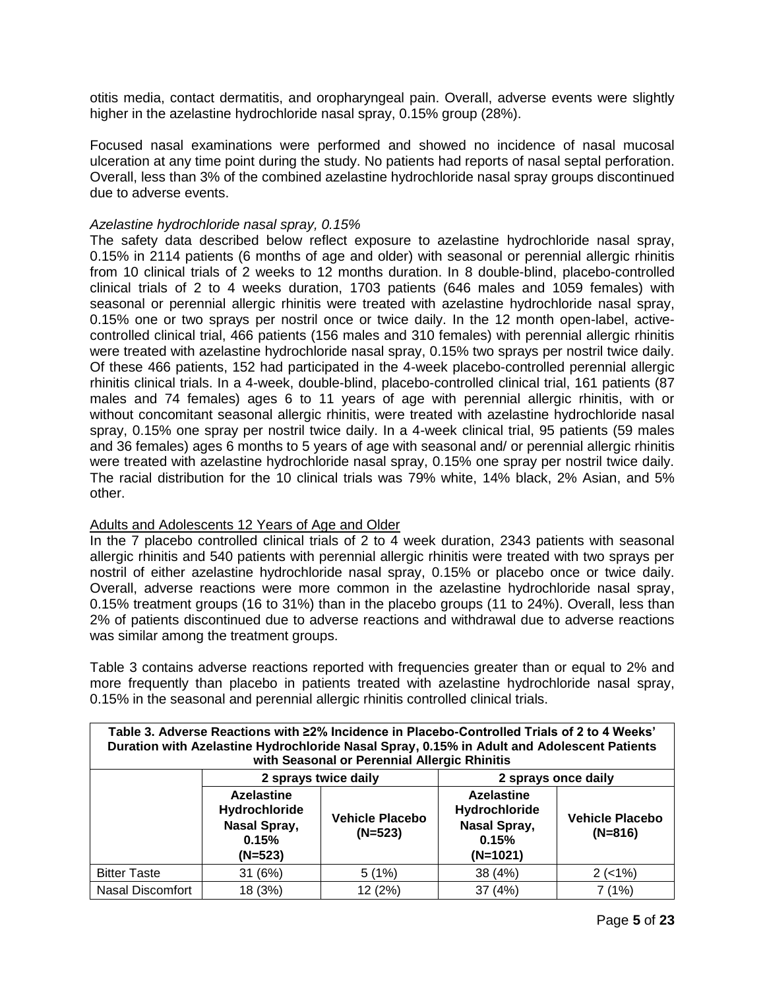otitis media, contact dermatitis, and oropharyngeal pain. Overall, adverse events were slightly higher in the azelastine hydrochloride nasal spray, 0.15% group (28%).

Focused nasal examinations were performed and showed no incidence of nasal mucosal ulceration at any time point during the study. No patients had reports of nasal septal perforation. Overall, less than 3% of the combined azelastine hydrochloride nasal spray groups discontinued due to adverse events.

# *Azelastine hydrochloride nasal spray, 0.15%*

The safety data described below reflect exposure to azelastine hydrochloride nasal spray, 0.15% in 2114 patients (6 months of age and older) with seasonal or perennial allergic rhinitis from 10 clinical trials of 2 weeks to 12 months duration. In 8 double-blind, placebo-controlled clinical trials of 2 to 4 weeks duration, 1703 patients (646 males and 1059 females) with seasonal or perennial allergic rhinitis were treated with azelastine hydrochloride nasal spray, 0.15% one or two sprays per nostril once or twice daily. In the 12 month open-label, activecontrolled clinical trial, 466 patients (156 males and 310 females) with perennial allergic rhinitis were treated with azelastine hydrochloride nasal spray, 0.15% two sprays per nostril twice daily. Of these 466 patients, 152 had participated in the 4-week placebo-controlled perennial allergic rhinitis clinical trials. In a 4-week, double-blind, placebo-controlled clinical trial, 161 patients (87 males and 74 females) ages 6 to 11 years of age with perennial allergic rhinitis, with or without concomitant seasonal allergic rhinitis, were treated with azelastine hydrochloride nasal spray, 0.15% one spray per nostril twice daily. In a 4-week clinical trial, 95 patients (59 males and 36 females) ages 6 months to 5 years of age with seasonal and/ or perennial allergic rhinitis were treated with azelastine hydrochloride nasal spray, 0.15% one spray per nostril twice daily. The racial distribution for the 10 clinical trials was 79% white, 14% black, 2% Asian, and 5% other.

# Adults and Adolescents 12 Years of Age and Older

In the 7 placebo controlled clinical trials of 2 to 4 week duration, 2343 patients with seasonal allergic rhinitis and 540 patients with perennial allergic rhinitis were treated with two sprays per nostril of either azelastine hydrochloride nasal spray, 0.15% or placebo once or twice daily. Overall, adverse reactions were more common in the azelastine hydrochloride nasal spray, 0.15% treatment groups (16 to 31%) than in the placebo groups (11 to 24%). Overall, less than 2% of patients discontinued due to adverse reactions and withdrawal due to adverse reactions was similar among the treatment groups.

Table 3 contains adverse reactions reported with frequencies greater than or equal to 2% and more frequently than placebo in patients treated with azelastine hydrochloride nasal spray, 0.15% in the seasonal and perennial allergic rhinitis controlled clinical trials.

| Table 3. Adverse Reactions with ≥2% Incidence in Placebo-Controlled Trials of 2 to 4 Weeks'<br>Duration with Azelastine Hydrochloride Nasal Spray, 0.15% in Adult and Adolescent Patients<br>with Seasonal or Perennial Allergic Rhinitis |                                                                          |                                     |                                                                                                                  |          |  |  |  |
|-------------------------------------------------------------------------------------------------------------------------------------------------------------------------------------------------------------------------------------------|--------------------------------------------------------------------------|-------------------------------------|------------------------------------------------------------------------------------------------------------------|----------|--|--|--|
|                                                                                                                                                                                                                                           | 2 sprays twice daily<br>2 sprays once daily                              |                                     |                                                                                                                  |          |  |  |  |
|                                                                                                                                                                                                                                           | <b>Azelastine</b><br>Hydrochloride<br>Nasal Spray,<br>0.15%<br>$(N=523)$ | <b>Vehicle Placebo</b><br>$(N=523)$ | <b>Azelastine</b><br>Hydrochloride<br><b>Vehicle Placebo</b><br>Nasal Spray,<br>$(N=816)$<br>0.15%<br>$(N=1021)$ |          |  |  |  |
| <b>Bitter Taste</b>                                                                                                                                                                                                                       | 31 (6%)                                                                  | 5(1%)                               | 38 (4%)                                                                                                          | $2(-1%)$ |  |  |  |
| Nasal Discomfort                                                                                                                                                                                                                          | 18 (3%)                                                                  | 12 (2%)                             | 37 (4%)                                                                                                          | 7 (1%)   |  |  |  |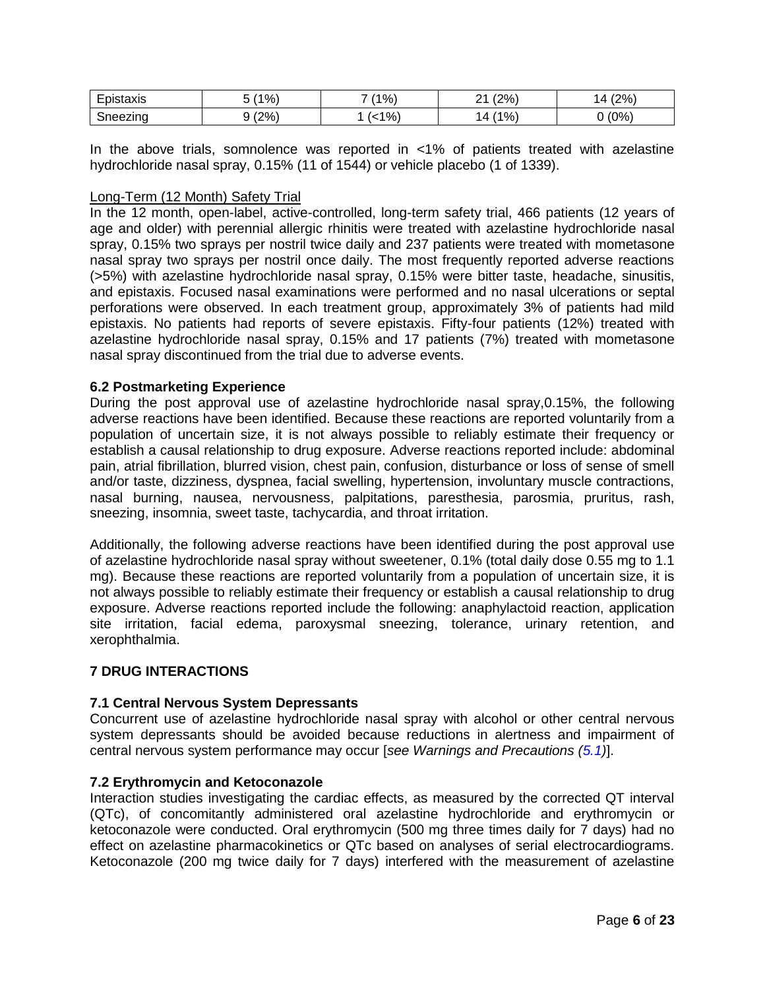| $ -$<br>$\sim$<br>ıstaxıs<br>צור<br>-- | 10/<br>7٥, | $'1\%$ | $'2\%$ ,<br>ົ<br>-   | (2%)<br>$\Delta$ |
|----------------------------------------|------------|--------|----------------------|------------------|
| $\sim$<br>neezing                      | $'2\%$     | $\%$   | $^{\prime}$ 1%,<br>4 | (0%              |

In the above trials, somnolence was reported in <1% of patients treated with azelastine hydrochloride nasal spray, 0.15% (11 of 1544) or vehicle placebo (1 of 1339).

# Long-Term (12 Month) Safety Trial

In the 12 month, open-label, active-controlled, long-term safety trial, 466 patients (12 years of age and older) with perennial allergic rhinitis were treated with azelastine hydrochloride nasal spray, 0.15% two sprays per nostril twice daily and 237 patients were treated with mometasone nasal spray two sprays per nostril once daily. The most frequently reported adverse reactions (>5%) with azelastine hydrochloride nasal spray, 0.15% were bitter taste, headache, sinusitis, and epistaxis. Focused nasal examinations were performed and no nasal ulcerations or septal perforations were observed. In each treatment group, approximately 3% of patients had mild epistaxis. No patients had reports of severe epistaxis. Fifty-four patients (12%) treated with azelastine hydrochloride nasal spray, 0.15% and 17 patients (7%) treated with mometasone nasal spray discontinued from the trial due to adverse events.

# <span id="page-5-0"></span>**6.2 Postmarketing Experience**

During the post approval use of azelastine hydrochloride nasal spray,0.15%, the following adverse reactions have been identified. Because these reactions are reported voluntarily from a population of uncertain size, it is not always possible to reliably estimate their frequency or establish a causal relationship to drug exposure. Adverse reactions reported include: abdominal pain, atrial fibrillation, blurred vision, chest pain, confusion, disturbance or loss of sense of smell and/or taste, dizziness, dyspnea, facial swelling, hypertension, involuntary muscle contractions, nasal burning, nausea, nervousness, palpitations, paresthesia, parosmia, pruritus, rash, sneezing, insomnia, sweet taste, tachycardia, and throat irritation.

Additionally, the following adverse reactions have been identified during the post approval use of azelastine hydrochloride nasal spray without sweetener, 0.1% (total daily dose 0.55 mg to 1.1 mg). Because these reactions are reported voluntarily from a population of uncertain size, it is not always possible to reliably estimate their frequency or establish a causal relationship to drug exposure. Adverse reactions reported include the following: anaphylactoid reaction, application site irritation, facial edema, paroxysmal sneezing, tolerance, urinary retention, and xerophthalmia.

# <span id="page-5-1"></span>**7 DRUG INTERACTIONS**

# <span id="page-5-2"></span>**7.1 Central Nervous System Depressants**

Concurrent use of azelastine hydrochloride nasal spray with alcohol or other central nervous system depressants should be avoided because reductions in alertness and impairment of central nervous system performance may occur [*see Warnings and Precautions [\(5.1\)](#page-2-6)*].

# <span id="page-5-3"></span>**7.2 Erythromycin and Ketoconazole**

Interaction studies investigating the cardiac effects, as measured by the corrected QT interval (QTc), of concomitantly administered oral azelastine hydrochloride and erythromycin or ketoconazole were conducted. Oral erythromycin (500 mg three times daily for 7 days) had no effect on azelastine pharmacokinetics or QTc based on analyses of serial electrocardiograms. Ketoconazole (200 mg twice daily for 7 days) interfered with the measurement of azelastine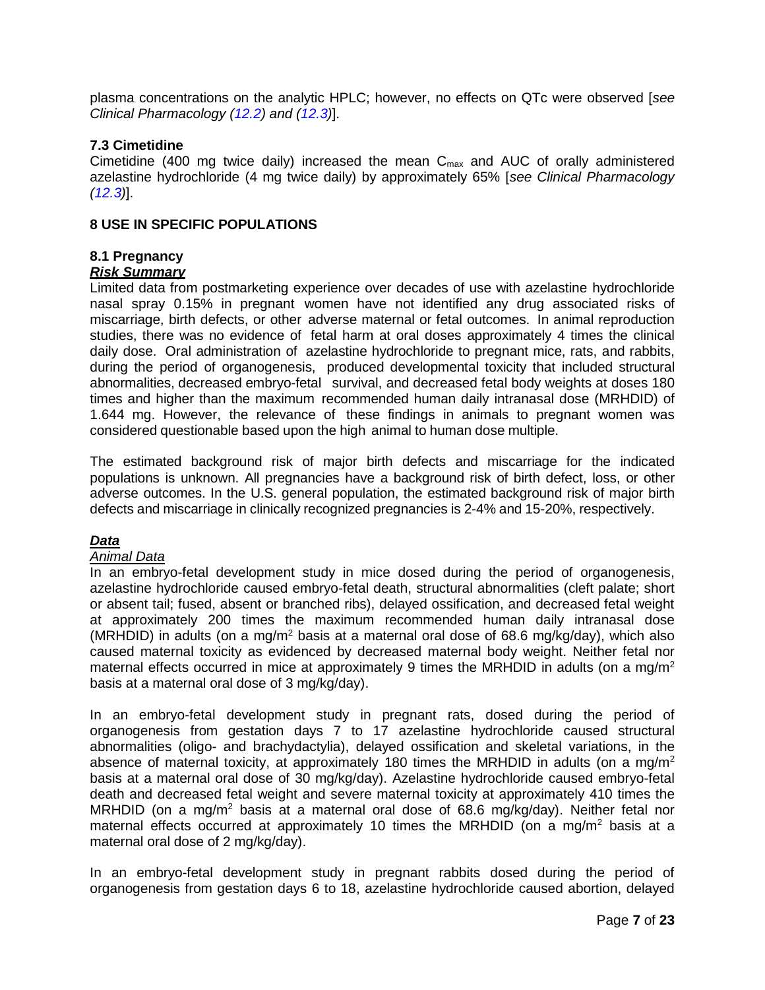plasma concentrations on the analytic HPLC; however, no effects on QTc were observed [*see Clinical Pharmacology [\(12.2\)](#page-8-3) and [\(12.3\)](#page-9-0)*].

# <span id="page-6-0"></span>**7.3 Cimetidine**

Cimetidine (400 mg twice daily) increased the mean  $C_{\text{max}}$  and AUC of orally administered azelastine hydrochloride (4 mg twice daily) by approximately 65% [*see Clinical Pharmacology [\(12.3\)](#page-9-0)*].

# <span id="page-6-1"></span>**8 USE IN SPECIFIC POPULATIONS**

# <span id="page-6-2"></span>**8.1 Pregnancy**

# *Risk Summary*

Limited data from postmarketing experience over decades of use with azelastine hydrochloride nasal spray 0.15% in pregnant women have not identified any drug associated risks of miscarriage, birth defects, or other adverse maternal or fetal outcomes. In animal reproduction studies, there was no evidence of fetal harm at oral doses approximately 4 times the clinical daily dose. Oral administration of azelastine hydrochloride to pregnant mice, rats, and rabbits, during the period of organogenesis, produced developmental toxicity that included structural abnormalities, decreased embryo-fetal survival, and decreased fetal body weights at doses 180 times and higher than the maximum recommended human daily intranasal dose (MRHDID) of 1.644 mg. However, the relevance of these findings in animals to pregnant women was considered questionable based upon the high animal to human dose multiple.

The estimated background risk of major birth defects and miscarriage for the indicated populations is unknown. All pregnancies have a background risk of birth defect, loss, or other adverse outcomes. In the U.S. general population, the estimated background risk of major birth defects and miscarriage in clinically recognized pregnancies is 2-4% and 15-20%, respectively.

# *Data*

# *Animal Data*

In an embryo-fetal development study in mice dosed during the period of organogenesis, azelastine hydrochloride caused embryo-fetal death, structural abnormalities (cleft palate; short or absent tail; fused, absent or branched ribs), delayed ossification, and decreased fetal weight at approximately 200 times the maximum recommended human daily intranasal dose (MRHDID) in adults (on a mg/m<sup>2</sup> basis at a maternal oral dose of 68.6 mg/kg/day), which also caused maternal toxicity as evidenced by decreased maternal body weight. Neither fetal nor maternal effects occurred in mice at approximately 9 times the MRHDID in adults (on a mg/m<sup>2</sup> basis at a maternal oral dose of 3 mg/kg/day).

In an embryo-fetal development study in pregnant rats, dosed during the period of organogenesis from gestation days 7 to 17 azelastine hydrochloride caused structural abnormalities (oligo- and brachydactylia), delayed ossification and skeletal variations, in the absence of maternal toxicity, at approximately 180 times the MRHDID in adults (on a mg/m<sup>2</sup> basis at a maternal oral dose of 30 mg/kg/day). Azelastine hydrochloride caused embryo-fetal death and decreased fetal weight and severe maternal toxicity at approximately 410 times the MRHDID (on a mg/m<sup>2</sup> basis at a maternal oral dose of 68.6 mg/kg/day). Neither fetal nor maternal effects occurred at approximately 10 times the MRHDID (on a mg/m<sup>2</sup> basis at a maternal oral dose of 2 mg/kg/day).

In an embryo-fetal development study in pregnant rabbits dosed during the period of organogenesis from gestation days 6 to 18, azelastine hydrochloride caused abortion, delayed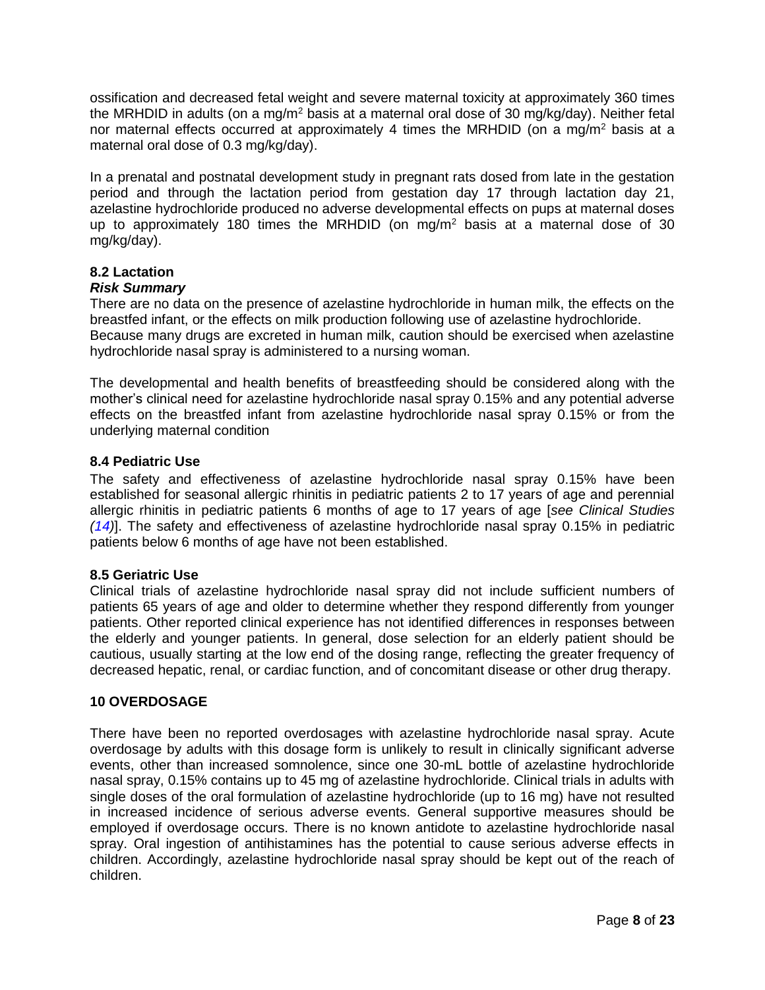ossification and decreased fetal weight and severe maternal toxicity at approximately 360 times the MRHDID in adults (on a mg/m<sup>2</sup> basis at a maternal oral dose of 30 mg/kg/day). Neither fetal nor maternal effects occurred at approximately 4 times the MRHDID (on a mg/m<sup>2</sup> basis at a maternal oral dose of 0.3 mg/kg/day).

In a prenatal and postnatal development study in pregnant rats dosed from late in the gestation period and through the lactation period from gestation day 17 through lactation day 21, azelastine hydrochloride produced no adverse developmental effects on pups at maternal doses up to approximately 180 times the MRHDID (on mg/m<sup>2</sup> basis at a maternal dose of 30 mg/kg/day).

# <span id="page-7-0"></span>**8.2 Lactation**

# *Risk Summary*

There are no data on the presence of azelastine hydrochloride in human milk, the effects on the breastfed infant, or the effects on milk production following use of azelastine hydrochloride. Because many drugs are excreted in human milk, caution should be exercised when azelastine hydrochloride nasal spray is administered to a nursing woman.

The developmental and health benefits of breastfeeding should be considered along with the mother's clinical need for azelastine hydrochloride nasal spray 0.15% and any potential adverse effects on the breastfed infant from azelastine hydrochloride nasal spray 0.15% or from the underlying maternal condition

# <span id="page-7-1"></span>**8.4 Pediatric Use**

The safety and effectiveness of azelastine hydrochloride nasal spray 0.15% have been established for seasonal allergic rhinitis in pediatric patients 2 to 17 years of age and perennial allergic rhinitis in pediatric patients 6 months of age to 17 years of age [*see Clinical Studies [\(14\)](#page-10-2)*]. The safety and effectiveness of azelastine hydrochloride nasal spray 0.15% in pediatric patients below 6 months of age have not been established.

# <span id="page-7-2"></span>**8.5 Geriatric Use**

Clinical trials of azelastine hydrochloride nasal spray did not include sufficient numbers of patients 65 years of age and older to determine whether they respond differently from younger patients. Other reported clinical experience has not identified differences in responses between the elderly and younger patients. In general, dose selection for an elderly patient should be cautious, usually starting at the low end of the dosing range, reflecting the greater frequency of decreased hepatic, renal, or cardiac function, and of concomitant disease or other drug therapy.

# <span id="page-7-3"></span>**10 OVERDOSAGE**

There have been no reported overdosages with azelastine hydrochloride nasal spray. Acute overdosage by adults with this dosage form is unlikely to result in clinically significant adverse events, other than increased somnolence, since one 30-mL bottle of azelastine hydrochloride nasal spray, 0.15% contains up to 45 mg of azelastine hydrochloride. Clinical trials in adults with single doses of the oral formulation of azelastine hydrochloride (up to 16 mg) have not resulted in increased incidence of serious adverse events. General supportive measures should be employed if overdosage occurs. There is no known antidote to azelastine hydrochloride nasal spray. Oral ingestion of antihistamines has the potential to cause serious adverse effects in children. Accordingly, azelastine hydrochloride nasal spray should be kept out of the reach of children.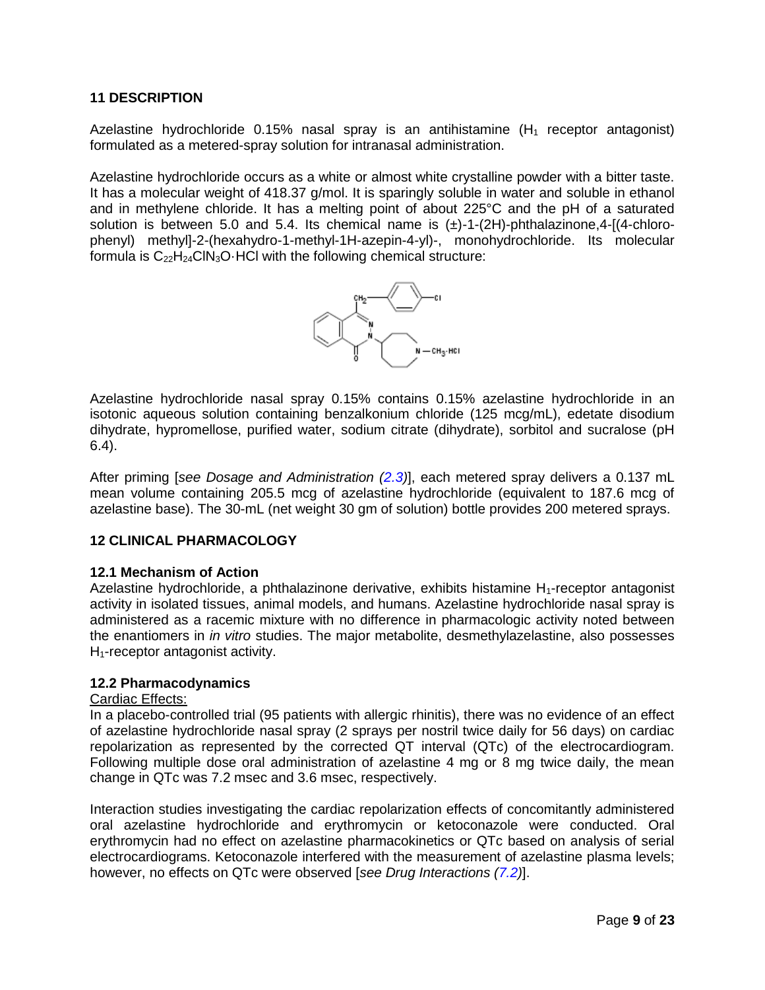# <span id="page-8-0"></span>**11 DESCRIPTION**

Azelastine hydrochloride 0.15% nasal spray is an antihistamine  $(H_1)$  receptor antagonist) formulated as a metered-spray solution for intranasal administration.

Azelastine hydrochloride occurs as a white or almost white crystalline powder with a bitter taste. It has a molecular weight of 418.37 g/mol. It is sparingly soluble in water and soluble in ethanol and in methylene chloride. It has a melting point of about 225°C and the pH of a saturated solution is between 5.0 and 5.4. Its chemical name is  $(\pm)$ -1-(2H)-phthalazinone,4-[(4-chlorophenyl) methyl]-2-(hexahydro-1-methyl-1H-azepin-4-yl)-, monohydrochloride. Its molecular formula is  $C_{22}H_{24}CIN_3O$ . HCl with the following chemical structure:



Azelastine hydrochloride nasal spray 0.15% contains 0.15% azelastine hydrochloride in an isotonic aqueous solution containing benzalkonium chloride (125 mcg/mL), edetate disodium dihydrate, hypromellose, purified water, sodium citrate (dihydrate), sorbitol and sucralose (pH 6.4).

After priming [*see Dosage and Administration [\(2.3\)](#page-2-1)*], each metered spray delivers a 0.137 mL mean volume containing 205.5 mcg of azelastine hydrochloride (equivalent to 187.6 mcg of azelastine base). The 30-mL (net weight 30 gm of solution) bottle provides 200 metered sprays.

# <span id="page-8-1"></span>**12 CLINICAL PHARMACOLOGY**

# <span id="page-8-2"></span>**12.1 Mechanism of Action**

Azelastine hydrochloride, a phthalazinone derivative, exhibits histamine H<sub>1</sub>-receptor antagonist activity in isolated tissues, animal models, and humans. Azelastine hydrochloride nasal spray is administered as a racemic mixture with no difference in pharmacologic activity noted between the enantiomers in *in vitro* studies. The major metabolite, desmethylazelastine, also possesses  $H_1$ -receptor antagonist activity.

# <span id="page-8-3"></span>**12.2 Pharmacodynamics**

# Cardiac Effects:

In a placebo-controlled trial (95 patients with allergic rhinitis), there was no evidence of an effect of azelastine hydrochloride nasal spray (2 sprays per nostril twice daily for 56 days) on cardiac repolarization as represented by the corrected QT interval (QTc) of the electrocardiogram. Following multiple dose oral administration of azelastine 4 mg or 8 mg twice daily, the mean change in QTc was 7.2 msec and 3.6 msec, respectively.

Interaction studies investigating the cardiac repolarization effects of concomitantly administered oral azelastine hydrochloride and erythromycin or ketoconazole were conducted. Oral erythromycin had no effect on azelastine pharmacokinetics or QTc based on analysis of serial electrocardiograms. Ketoconazole interfered with the measurement of azelastine plasma levels; however, no effects on QTc were observed [*see Drug Interactions [\(7.2\)](#page-5-3)*].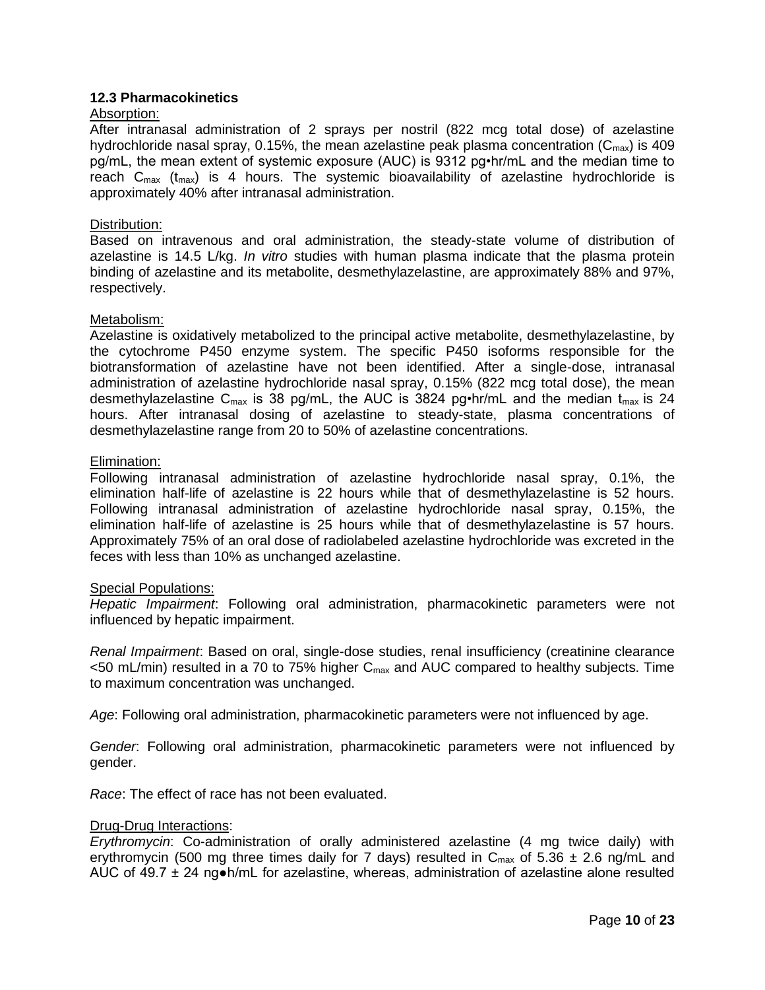# <span id="page-9-0"></span>**12.3 Pharmacokinetics**

### Absorption:

After intranasal administration of 2 sprays per nostril (822 mcg total dose) of azelastine hydrochloride nasal spray, 0.15%, the mean azelastine peak plasma concentration ( $C_{\text{max}}$ ) is 409 pg/mL, the mean extent of systemic exposure (AUC) is 9312 pg•hr/mL and the median time to reach  $C_{\text{max}}$  (t<sub>max</sub>) is 4 hours. The systemic bioavailability of azelastine hydrochloride is approximately 40% after intranasal administration.

### Distribution:

Based on intravenous and oral administration, the steady-state volume of distribution of azelastine is 14.5 L/kg. *In vitro* studies with human plasma indicate that the plasma protein binding of azelastine and its metabolite, desmethylazelastine, are approximately 88% and 97%, respectively.

### Metabolism:

Azelastine is oxidatively metabolized to the principal active metabolite, desmethylazelastine, by the cytochrome P450 enzyme system. The specific P450 isoforms responsible for the biotransformation of azelastine have not been identified. After a single-dose, intranasal administration of azelastine hydrochloride nasal spray, 0.15% (822 mcg total dose), the mean desmethylazelastine  $C_{\text{max}}$  is 38 pg/mL, the AUC is 3824 pg•hr/mL and the median  $t_{\text{max}}$  is 24 hours. After intranasal dosing of azelastine to steady-state, plasma concentrations of desmethylazelastine range from 20 to 50% of azelastine concentrations.

#### Elimination:

Following intranasal administration of azelastine hydrochloride nasal spray, 0.1%, the elimination half-life of azelastine is 22 hours while that of desmethylazelastine is 52 hours. Following intranasal administration of azelastine hydrochloride nasal spray, 0.15%, the elimination half-life of azelastine is 25 hours while that of desmethylazelastine is 57 hours. Approximately 75% of an oral dose of radiolabeled azelastine hydrochloride was excreted in the feces with less than 10% as unchanged azelastine.

#### Special Populations:

*Hepatic Impairment*: Following oral administration, pharmacokinetic parameters were not influenced by hepatic impairment.

*Renal Impairment*: Based on oral, single-dose studies, renal insufficiency (creatinine clearance  $<$ 50 mL/min) resulted in a 70 to 75% higher  $C_{\text{max}}$  and AUC compared to healthy subjects. Time to maximum concentration was unchanged.

*Age*: Following oral administration, pharmacokinetic parameters were not influenced by age.

*Gender*: Following oral administration, pharmacokinetic parameters were not influenced by gender.

*Race*: The effect of race has not been evaluated.

#### Drug-Drug Interactions:

*Erythromycin*: Co-administration of orally administered azelastine (4 mg twice daily) with erythromycin (500 mg three times daily for 7 days) resulted in  $C_{\text{max}}$  of 5.36  $\pm$  2.6 ng/mL and AUC of 49.7  $\pm$  24 ng $\bullet$ h/mL for azelastine, whereas, administration of azelastine alone resulted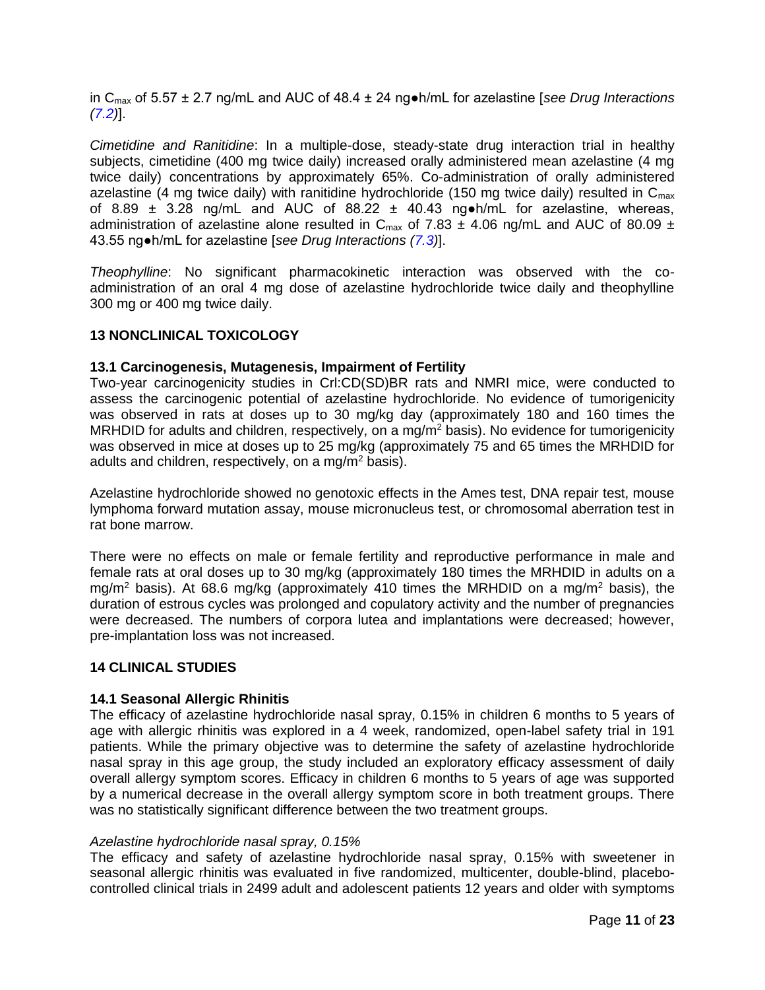in Cmax of 5.57 ± 2.7 ng/mL and AUC of 48.4 ± 24 ng●h/mL for azelastine [*see Drug Interactions [\(7.2\)](#page-5-3)*].

*Cimetidine and Ranitidine*: In a multiple-dose, steady-state drug interaction trial in healthy subiects, cimetidine (400 mg twice daily) increased orally administered mean azelastine (4 mg twice daily) concentrations by approximately 65%. Co-administration of orally administered azelastine (4 mg twice daily) with ranitidine hydrochloride (150 mg twice daily) resulted in  $C_{\text{max}}$ of 8.89  $\pm$  3.28 ng/mL and AUC of 88.22  $\pm$  40.43 ng h/mL for azelastine, whereas, administration of azelastine alone resulted in C<sub>max</sub> of 7.83  $\pm$  4.06 ng/mL and AUC of 80.09  $\pm$ 43.55 ng●h/mL for azelastine [*see Drug Interactions [\(7.3\)](#page-6-0)*].

*Theophylline*: No significant pharmacokinetic interaction was observed with the coadministration of an oral 4 mg dose of azelastine hydrochloride twice daily and theophylline 300 mg or 400 mg twice daily.

# <span id="page-10-0"></span>**13 NONCLINICAL TOXICOLOGY**

# <span id="page-10-1"></span>**13.1 Carcinogenesis, Mutagenesis, Impairment of Fertility**

Two-year carcinogenicity studies in Crl:CD(SD)BR rats and NMRI mice, were conducted to assess the carcinogenic potential of azelastine hydrochloride. No evidence of tumorigenicity was observed in rats at doses up to 30 mg/kg day (approximately 180 and 160 times the MRHDID for adults and children, respectively, on a mg/m<sup>2</sup> basis). No evidence for tumorigenicity was observed in mice at doses up to 25 mg/kg (approximately 75 and 65 times the MRHDID for adults and children, respectively, on a mg/m<sup>2</sup> basis).

Azelastine hydrochloride showed no genotoxic effects in the Ames test, DNA repair test, mouse lymphoma forward mutation assay, mouse micronucleus test, or chromosomal aberration test in rat bone marrow.

There were no effects on male or female fertility and reproductive performance in male and female rats at oral doses up to 30 mg/kg (approximately 180 times the MRHDID in adults on a mg/m<sup>2</sup> basis). At 68.6 mg/kg (approximately 410 times the MRHDID on a mg/m<sup>2</sup> basis), the duration of estrous cycles was prolonged and copulatory activity and the number of pregnancies were decreased. The numbers of corpora lutea and implantations were decreased; however, pre-implantation loss was not increased.

# <span id="page-10-2"></span>**14 CLINICAL STUDIES**

# <span id="page-10-3"></span>**14.1 Seasonal Allergic Rhinitis**

The efficacy of azelastine hydrochloride nasal spray, 0.15% in children 6 months to 5 years of age with allergic rhinitis was explored in a 4 week, randomized, open-label safety trial in 191 patients. While the primary objective was to determine the safety of azelastine hydrochloride nasal spray in this age group, the study included an exploratory efficacy assessment of daily overall allergy symptom scores. Efficacy in children 6 months to 5 years of age was supported by a numerical decrease in the overall allergy symptom score in both treatment groups. There was no statistically significant difference between the two treatment groups.

# *Azelastine hydrochloride nasal spray, 0.15%*

The efficacy and safety of azelastine hydrochloride nasal spray, 0.15% with sweetener in seasonal allergic rhinitis was evaluated in five randomized, multicenter, double-blind, placebocontrolled clinical trials in 2499 adult and adolescent patients 12 years and older with symptoms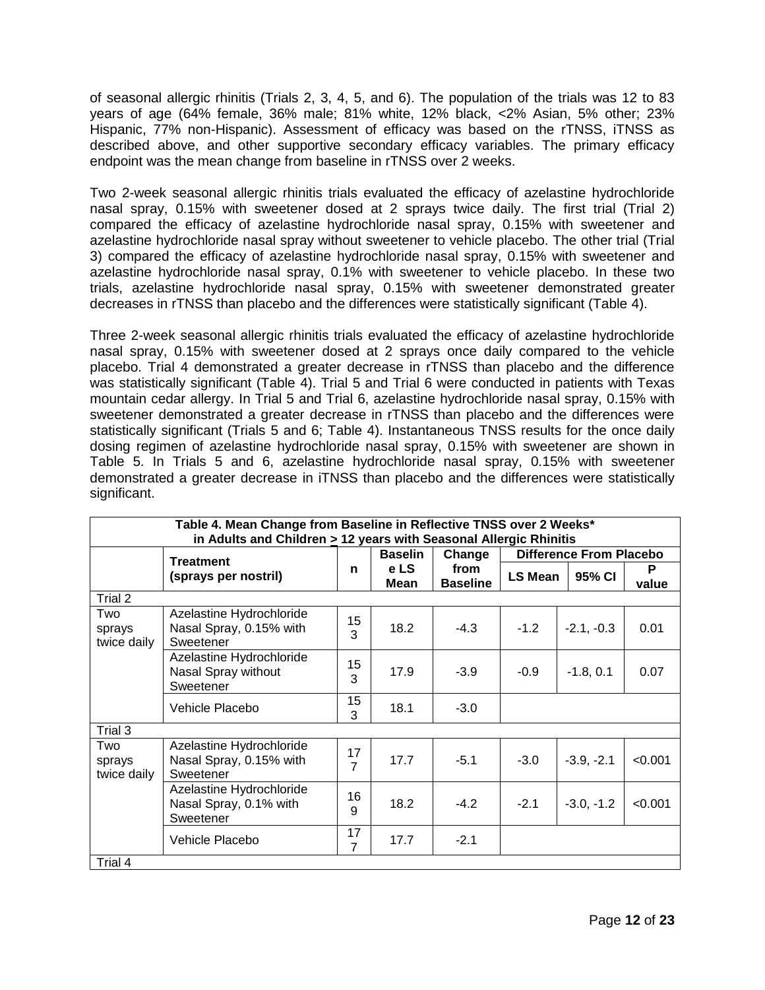of seasonal allergic rhinitis (Trials 2, 3, 4, 5, and 6). The population of the trials was 12 to 83 years of age (64% female, 36% male; 81% white, 12% black, <2% Asian, 5% other; 23% Hispanic, 77% non-Hispanic). Assessment of efficacy was based on the rTNSS, iTNSS as described above, and other supportive secondary efficacy variables. The primary efficacy endpoint was the mean change from baseline in rTNSS over 2 weeks.

Two 2-week seasonal allergic rhinitis trials evaluated the efficacy of azelastine hydrochloride nasal spray, 0.15% with sweetener dosed at 2 sprays twice daily. The first trial (Trial 2) compared the efficacy of azelastine hydrochloride nasal spray, 0.15% with sweetener and azelastine hydrochloride nasal spray without sweetener to vehicle placebo. The other trial (Trial 3) compared the efficacy of azelastine hydrochloride nasal spray, 0.15% with sweetener and azelastine hydrochloride nasal spray, 0.1% with sweetener to vehicle placebo. In these two trials, azelastine hydrochloride nasal spray, 0.15% with sweetener demonstrated greater decreases in rTNSS than placebo and the differences were statistically significant (Table 4).

Three 2-week seasonal allergic rhinitis trials evaluated the efficacy of azelastine hydrochloride nasal spray, 0.15% with sweetener dosed at 2 sprays once daily compared to the vehicle placebo. Trial 4 demonstrated a greater decrease in rTNSS than placebo and the difference was statistically significant (Table 4). Trial 5 and Trial 6 were conducted in patients with Texas mountain cedar allergy. In Trial 5 and Trial 6, azelastine hydrochloride nasal spray, 0.15% with sweetener demonstrated a greater decrease in rTNSS than placebo and the differences were statistically significant (Trials 5 and 6; Table 4). Instantaneous TNSS results for the once daily dosing regimen of azelastine hydrochloride nasal spray, 0.15% with sweetener are shown in Table 5. In Trials 5 and 6, azelastine hydrochloride nasal spray, 0.15% with sweetener demonstrated a greater decrease in iTNSS than placebo and the differences were statistically significant.

| Table 4. Mean Change from Baseline in Reflective TNSS over 2 Weeks*<br>in Adults and Children > 12 years with Seasonal Allergic Rhinitis |                                                                  |         |                |                         |         |                                |            |
|------------------------------------------------------------------------------------------------------------------------------------------|------------------------------------------------------------------|---------|----------------|-------------------------|---------|--------------------------------|------------|
|                                                                                                                                          | <b>Treatment</b>                                                 |         | <b>Baselin</b> | Change                  |         | <b>Difference From Placebo</b> |            |
|                                                                                                                                          | (sprays per nostril)                                             | n       | e LS<br>Mean   | from<br><b>Baseline</b> | LS Mean | 95% CI                         | P<br>value |
| Trial 2                                                                                                                                  |                                                                  |         |                |                         |         |                                |            |
| Two<br>sprays<br>twice daily                                                                                                             | Azelastine Hydrochloride<br>Nasal Spray, 0.15% with<br>Sweetener | 15<br>3 | 18.2           | $-4.3$                  | $-1.2$  | $-2.1, -0.3$                   | 0.01       |
|                                                                                                                                          | Azelastine Hydrochloride<br>Nasal Spray without<br>Sweetener     | 15<br>3 | 17.9           | $-3.9$                  | $-0.9$  | $-1.8, 0.1$                    | 0.07       |
|                                                                                                                                          | Vehicle Placebo                                                  | 15<br>3 | 18.1           | $-3.0$                  |         |                                |            |
| Trial 3                                                                                                                                  |                                                                  |         |                |                         |         |                                |            |
| Two<br>sprays<br>twice daily                                                                                                             | Azelastine Hydrochloride<br>Nasal Spray, 0.15% with<br>Sweetener | 17<br>7 | 17.7           | $-5.1$                  | $-3.0$  | $-3.9, -2.1$                   | < 0.001    |
|                                                                                                                                          | Azelastine Hydrochloride<br>Nasal Spray, 0.1% with<br>Sweetener  | 16<br>9 | 18.2           | $-4.2$                  | $-2.1$  | $-3.0, -1.2$                   | < 0.001    |
|                                                                                                                                          | Vehicle Placebo                                                  | 17<br>7 | 17.7           | $-2.1$                  |         |                                |            |
| Trial 4                                                                                                                                  |                                                                  |         |                |                         |         |                                |            |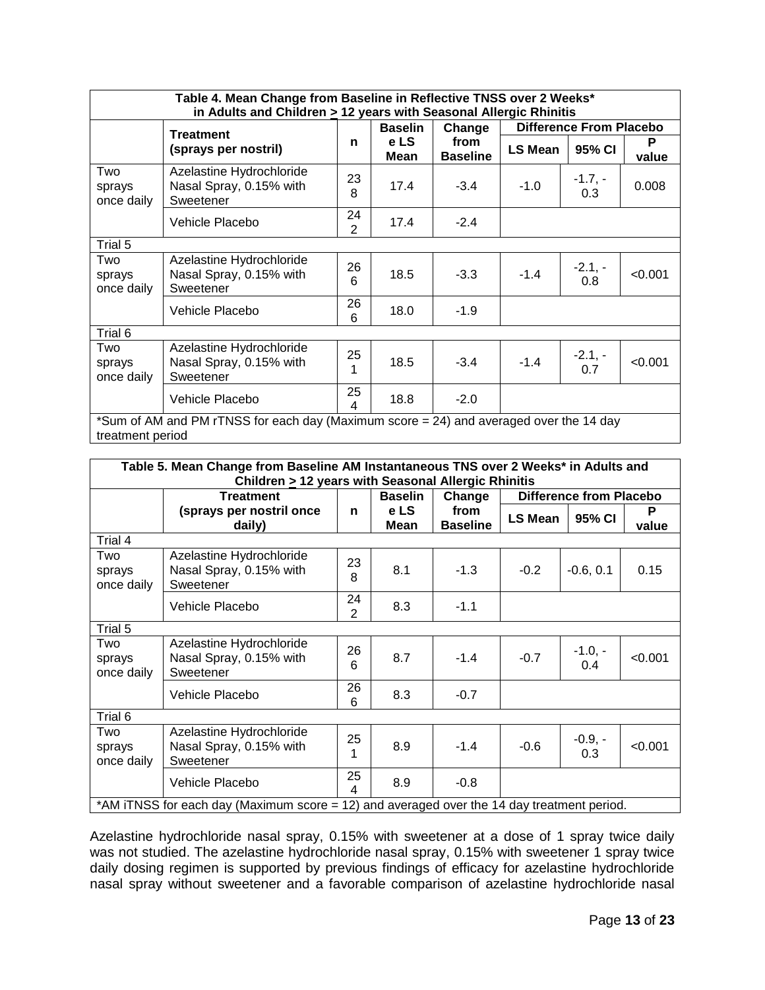| Table 4. Mean Change from Baseline in Reflective TNSS over 2 Weeks*<br>in Adults and Children > 12 years with Seasonal Allergic Rhinitis |                                                                                                            |                      |                     |                         |         |                                |            |
|------------------------------------------------------------------------------------------------------------------------------------------|------------------------------------------------------------------------------------------------------------|----------------------|---------------------|-------------------------|---------|--------------------------------|------------|
|                                                                                                                                          |                                                                                                            |                      | <b>Baselin</b>      | Change                  |         | <b>Difference From Placebo</b> |            |
|                                                                                                                                          | <b>Treatment</b><br>(sprays per nostril)                                                                   | n                    | e LS<br><b>Mean</b> | from<br><b>Baseline</b> | LS Mean | 95% CI                         | P<br>value |
| Two<br>sprays<br>once daily                                                                                                              | Azelastine Hydrochloride<br>Nasal Spray, 0.15% with<br>Sweetener                                           | 23<br>8              | 17.4                | $-3.4$                  | $-1.0$  | $-1.7, -$<br>0.3               | 0.008      |
|                                                                                                                                          | Vehicle Placebo                                                                                            | 24<br>$\overline{2}$ | 17.4                | $-2.4$                  |         |                                |            |
| Trial 5                                                                                                                                  |                                                                                                            |                      |                     |                         |         |                                |            |
| Two<br>sprays<br>once daily                                                                                                              | Azelastine Hydrochloride<br>Nasal Spray, 0.15% with<br>Sweetener                                           | 26<br>6              | 18.5                | $-3.3$                  | $-1.4$  | $-2.1, -$<br>0.8               | < 0.001    |
|                                                                                                                                          | Vehicle Placebo                                                                                            | 26<br>6              | 18.0                | $-1.9$                  |         |                                |            |
| Trial 6                                                                                                                                  |                                                                                                            |                      |                     |                         |         |                                |            |
| Two<br>sprays<br>once daily                                                                                                              | Azelastine Hydrochloride<br>Nasal Spray, 0.15% with<br>Sweetener                                           | 25<br>1              | 18.5                | $-3.4$                  | $-1.4$  | $-2.1, -$<br>0.7               | < 0.001    |
|                                                                                                                                          | Vehicle Placebo                                                                                            | 25<br>4              | 18.8                | $-2.0$                  |         |                                |            |
|                                                                                                                                          | *Sum of AM and PM rTNSS for each day (Maximum score = 24) and averaged over the 14 day<br>treatment period |                      |                     |                         |         |                                |            |

| Table 5. Mean Change from Baseline AM Instantaneous TNS over 2 Weeks* in Adults and |                                                                                            |                      |                |                         |         |                                |            |
|-------------------------------------------------------------------------------------|--------------------------------------------------------------------------------------------|----------------------|----------------|-------------------------|---------|--------------------------------|------------|
| Children $\geq$ 12 years with Seasonal Allergic Rhinitis                            |                                                                                            |                      |                |                         |         |                                |            |
|                                                                                     | <b>Treatment</b>                                                                           |                      | <b>Baselin</b> | Change                  |         | <b>Difference from Placebo</b> |            |
|                                                                                     | (sprays per nostril once<br>daily)                                                         | n                    | e LS<br>Mean   | from<br><b>Baseline</b> | LS Mean | 95% CI                         | P<br>value |
| Trial 4                                                                             |                                                                                            |                      |                |                         |         |                                |            |
| Two<br>sprays<br>once daily                                                         | Azelastine Hydrochloride<br>Nasal Spray, 0.15% with<br>Sweetener                           | 23<br>8              | 8.1            | $-1.3$                  | $-0.2$  | $-0.6, 0.1$                    | 0.15       |
|                                                                                     | Vehicle Placebo                                                                            | 24<br>$\overline{2}$ | 8.3            | $-1.1$                  |         |                                |            |
| Trial 5                                                                             |                                                                                            |                      |                |                         |         |                                |            |
| Two<br>sprays<br>once daily                                                         | Azelastine Hydrochloride<br>Nasal Spray, 0.15% with<br>Sweetener                           | 26<br>6              | 8.7            | $-1.4$                  | $-0.7$  | $-1.0, -$<br>0.4               | < 0.001    |
|                                                                                     | Vehicle Placebo                                                                            | 26<br>6              | 8.3            | $-0.7$                  |         |                                |            |
| Trial 6                                                                             |                                                                                            |                      |                |                         |         |                                |            |
| Two<br>sprays<br>once daily                                                         | Azelastine Hydrochloride<br>Nasal Spray, 0.15% with<br>Sweetener                           | 25<br>1              | 8.9            | $-1.4$                  | $-0.6$  | $-0.9, -$<br>0.3               | < 0.001    |
|                                                                                     | Vehicle Placebo                                                                            | 25<br>4              | 8.9            | $-0.8$                  |         |                                |            |
|                                                                                     | *AM iTNSS for each day (Maximum score = 12) and averaged over the 14 day treatment period. |                      |                |                         |         |                                |            |

Azelastine hydrochloride nasal spray, 0.15% with sweetener at a dose of 1 spray twice daily was not studied. The azelastine hydrochloride nasal spray, 0.15% with sweetener 1 spray twice daily dosing regimen is supported by previous findings of efficacy for azelastine hydrochloride nasal spray without sweetener and a favorable comparison of azelastine hydrochloride nasal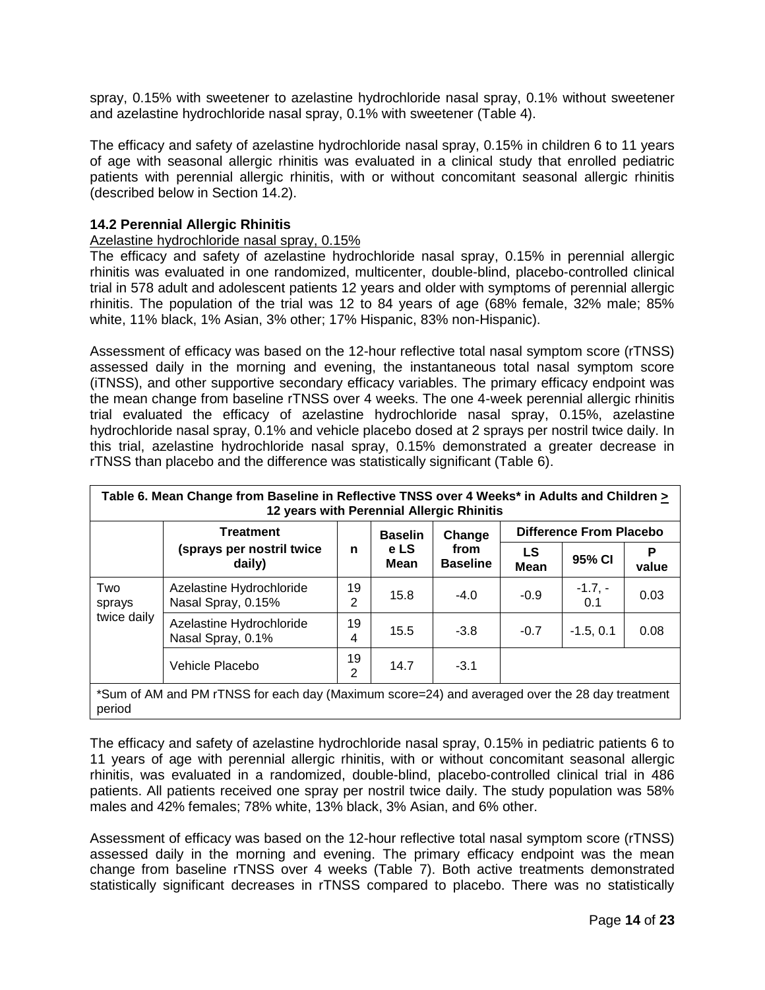spray, 0.15% with sweetener to azelastine hydrochloride nasal spray, 0.1% without sweetener and azelastine hydrochloride nasal spray, 0.1% with sweetener (Table 4).

The efficacy and safety of azelastine hydrochloride nasal spray, 0.15% in children 6 to 11 years of age with seasonal allergic rhinitis was evaluated in a clinical study that enrolled pediatric patients with perennial allergic rhinitis, with or without concomitant seasonal allergic rhinitis (described below in Section 14.2).

# <span id="page-13-0"></span>**14.2 Perennial Allergic Rhinitis**

# Azelastine hydrochloride nasal spray, 0.15%

The efficacy and safety of azelastine hydrochloride nasal spray, 0.15% in perennial allergic rhinitis was evaluated in one randomized, multicenter, double-blind, placebo-controlled clinical trial in 578 adult and adolescent patients 12 years and older with symptoms of perennial allergic rhinitis. The population of the trial was 12 to 84 years of age (68% female, 32% male; 85% white, 11% black, 1% Asian, 3% other; 17% Hispanic, 83% non-Hispanic).

Assessment of efficacy was based on the 12-hour reflective total nasal symptom score (rTNSS) assessed daily in the morning and evening, the instantaneous total nasal symptom score (iTNSS), and other supportive secondary efficacy variables. The primary efficacy endpoint was the mean change from baseline rTNSS over 4 weeks. The one 4-week perennial allergic rhinitis trial evaluated the efficacy of azelastine hydrochloride nasal spray, 0.15%, azelastine hydrochloride nasal spray, 0.1% and vehicle placebo dosed at 2 sprays per nostril twice daily. In this trial, azelastine hydrochloride nasal spray, 0.15% demonstrated a greater decrease in rTNSS than placebo and the difference was statistically significant (Table 6).

| Table 6. Mean Change from Baseline in Reflective TNSS over 4 Weeks* in Adults and Children ><br>12 years with Perennial Allergic Rhinitis |                                                |         |                     |                         |                   |                                |            |  |
|-------------------------------------------------------------------------------------------------------------------------------------------|------------------------------------------------|---------|---------------------|-------------------------|-------------------|--------------------------------|------------|--|
|                                                                                                                                           | <b>Treatment</b>                               |         | <b>Baselin</b>      | Change                  |                   | <b>Difference From Placebo</b> |            |  |
|                                                                                                                                           | (sprays per nostril twice<br>daily)            | n       | e LS<br><b>Mean</b> | from<br><b>Baseline</b> | LS<br><b>Mean</b> | 95% CI                         | P<br>value |  |
| Two<br>sprays                                                                                                                             | Azelastine Hydrochloride<br>Nasal Spray, 0.15% | 19<br>2 | 15.8                | $-4.0$                  | $-0.9$            | $-1.7,-$<br>0.1                | 0.03       |  |
| twice daily                                                                                                                               | Azelastine Hydrochloride<br>Nasal Spray, 0.1%  | 19<br>4 | 15.5                | $-3.8$                  | $-0.7$            | $-1.5, 0.1$                    | 0.08       |  |
| 19<br>14.7<br>Vehicle Placebo<br>$-3.1$<br>$\overline{2}$                                                                                 |                                                |         |                     |                         |                   |                                |            |  |
| *Sum of AM and PM rTNSS for each day (Maximum score=24) and averaged over the 28 day treatment<br>period                                  |                                                |         |                     |                         |                   |                                |            |  |

The efficacy and safety of azelastine hydrochloride nasal spray, 0.15% in pediatric patients 6 to 11 years of age with perennial allergic rhinitis, with or without concomitant seasonal allergic rhinitis, was evaluated in a randomized, double-blind, placebo-controlled clinical trial in 486 patients. All patients received one spray per nostril twice daily. The study population was 58% males and 42% females; 78% white, 13% black, 3% Asian, and 6% other.

Assessment of efficacy was based on the 12-hour reflective total nasal symptom score (rTNSS) assessed daily in the morning and evening. The primary efficacy endpoint was the mean change from baseline rTNSS over 4 weeks (Table 7). Both active treatments demonstrated statistically significant decreases in rTNSS compared to placebo. There was no statistically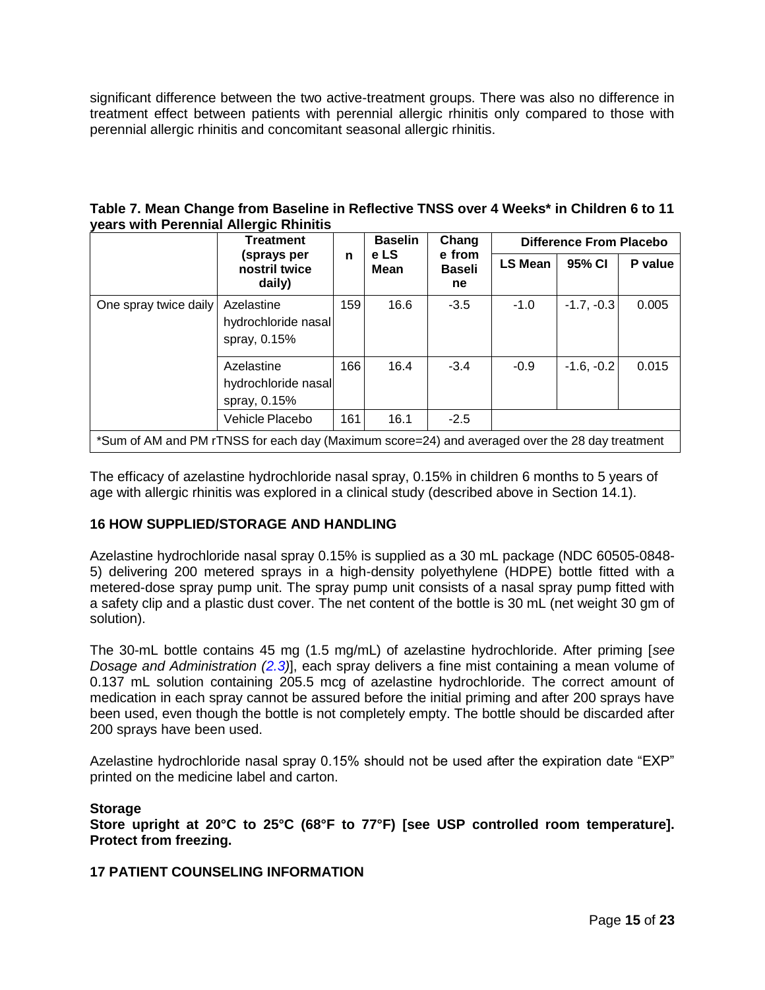significant difference between the two active-treatment groups. There was also no difference in treatment effect between patients with perennial allergic rhinitis only compared to those with perennial allergic rhinitis and concomitant seasonal allergic rhinitis.

| Table 7. Mean Change from Baseline in Reflective TNSS over 4 Weeks* in Children 6 to 11 |  |  |
|-----------------------------------------------------------------------------------------|--|--|
| years with Perennial Allergic Rhinitis                                                  |  |  |

|                                                                                                | <b>Treatment</b>                                  | n   | <b>Baselin</b><br>e LS | Chang<br>e from<br><b>Baseli</b><br>ne | <b>Difference From Placebo</b> |              |         |
|------------------------------------------------------------------------------------------------|---------------------------------------------------|-----|------------------------|----------------------------------------|--------------------------------|--------------|---------|
|                                                                                                | (sprays per<br>nostril twice<br>daily)            |     | <b>Mean</b>            |                                        | <b>LS Mean</b>                 | 95% CI       | P value |
| One spray twice daily                                                                          | Azelastine<br>hydrochloride nasal<br>spray, 0.15% | 159 | 16.6                   | $-3.5$                                 | $-1.0$                         | $-1.7, -0.3$ | 0.005   |
|                                                                                                | Azelastine<br>hydrochloride nasal<br>spray, 0.15% | 166 | 16.4                   | $-3.4$                                 | $-0.9$                         | $-1.6, -0.2$ | 0.015   |
|                                                                                                | Vehicle Placebo                                   | 161 | 16.1                   | $-2.5$                                 |                                |              |         |
| *Sum of AM and PM rTNSS for each day (Maximum score=24) and averaged over the 28 day treatment |                                                   |     |                        |                                        |                                |              |         |

The efficacy of azelastine hydrochloride nasal spray, 0.15% in children 6 months to 5 years of age with allergic rhinitis was explored in a clinical study (described above in Section 14.1).

# <span id="page-14-1"></span>**16 HOW SUPPLIED/STORAGE AND HANDLING**

Azelastine hydrochloride nasal spray 0.15% is supplied as a 30 mL package (NDC 60505-0848- 5) delivering 200 metered sprays in a high-density polyethylene (HDPE) bottle fitted with a metered-dose spray pump unit. The spray pump unit consists of a nasal spray pump fitted with a safety clip and a plastic dust cover. The net content of the bottle is 30 mL (net weight 30 gm of solution).

The 30-mL bottle contains 45 mg (1.5 mg/mL) of azelastine hydrochloride. After priming [*see Dosage and Administration [\(2.3\)](#page-2-1)*], each spray delivers a fine mist containing a mean volume of 0.137 mL solution containing 205.5 mcg of azelastine hydrochloride. The correct amount of medication in each spray cannot be assured before the initial priming and after 200 sprays have been used, even though the bottle is not completely empty. The bottle should be discarded after 200 sprays have been used.

Azelastine hydrochloride nasal spray 0.15% should not be used after the expiration date "EXP" printed on the medicine label and carton.

# **Storage**

period

**Store upright at 20°C to 25°C (68°F to 77°F) [see USP controlled room temperature]. Protect from freezing.**

# <span id="page-14-0"></span>**17 PATIENT COUNSELING INFORMATION**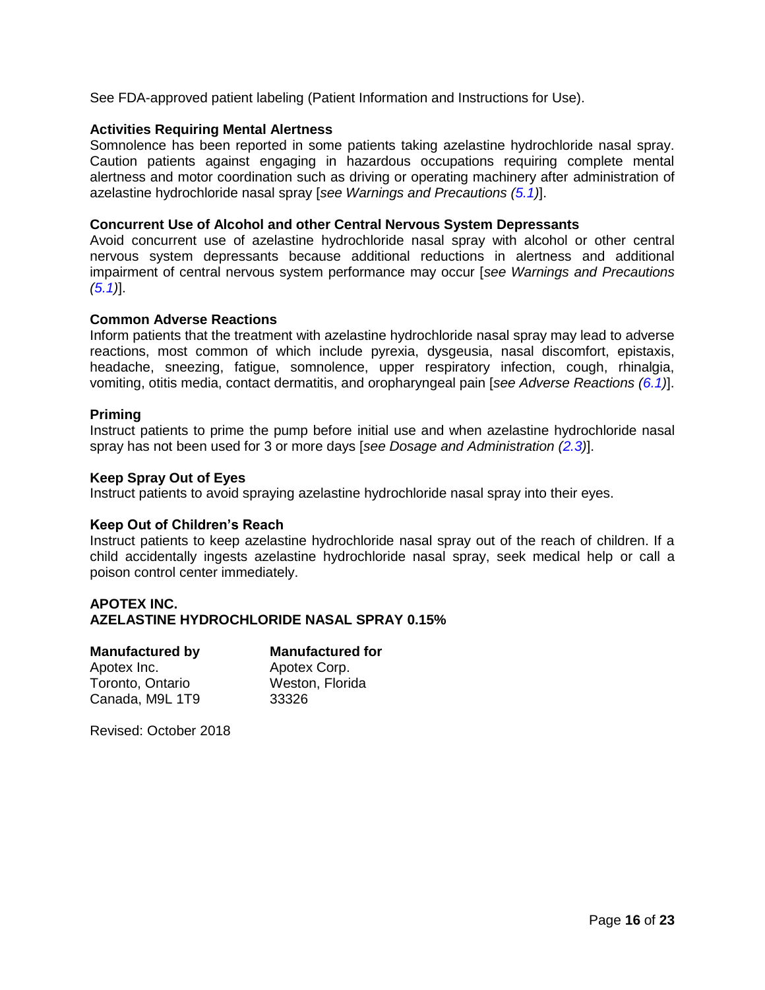See FDA-approved patient labeling (Patient Information and Instructions for Use).

# **Activities Requiring Mental Alertness**

Somnolence has been reported in some patients taking azelastine hydrochloride nasal spray. Caution patients against engaging in hazardous occupations requiring complete mental alertness and motor coordination such as driving or operating machinery after administration of azelastine hydrochloride nasal spray [*see Warnings and Precautions [\(5.1\)](#page-2-6)*].

# **Concurrent Use of Alcohol and other Central Nervous System Depressants**

Avoid concurrent use of azelastine hydrochloride nasal spray with alcohol or other central nervous system depressants because additional reductions in alertness and additional impairment of central nervous system performance may occur [*see Warnings and Precautions [\(5.1\)](#page-2-6)*].

# **Common Adverse Reactions**

Inform patients that the treatment with azelastine hydrochloride nasal spray may lead to adverse reactions, most common of which include pyrexia, dysgeusia, nasal discomfort, epistaxis, headache, sneezing, fatigue, somnolence, upper respiratory infection, cough, rhinalgia, vomiting, otitis media, contact dermatitis, and oropharyngeal pain [*see Adverse Reactions [\(6.1\)](#page-3-0)*].

# **Priming**

Instruct patients to prime the pump before initial use and when azelastine hydrochloride nasal spray has not been used for 3 or more days [*see Dosage and Administration [\(2.3\)](#page-2-1)*].

# **Keep Spray Out of Eyes**

Instruct patients to avoid spraying azelastine hydrochloride nasal spray into their eyes.

# **Keep Out of Children's Reach**

Instruct patients to keep azelastine hydrochloride nasal spray out of the reach of children. If a child accidentally ingests azelastine hydrochloride nasal spray, seek medical help or call a poison control center immediately.

# **APOTEX INC. AZELASTINE HYDROCHLORIDE NASAL SPRAY 0.15%**

| <b>Manufactured by</b> | <b>Manufactured for</b> |
|------------------------|-------------------------|
| Apotex Inc.            | Apotex Corp.            |
| Toronto, Ontario       | Weston, Florida         |
| Canada, M9L 1T9        | 33326                   |
|                        |                         |

Revised: October 2018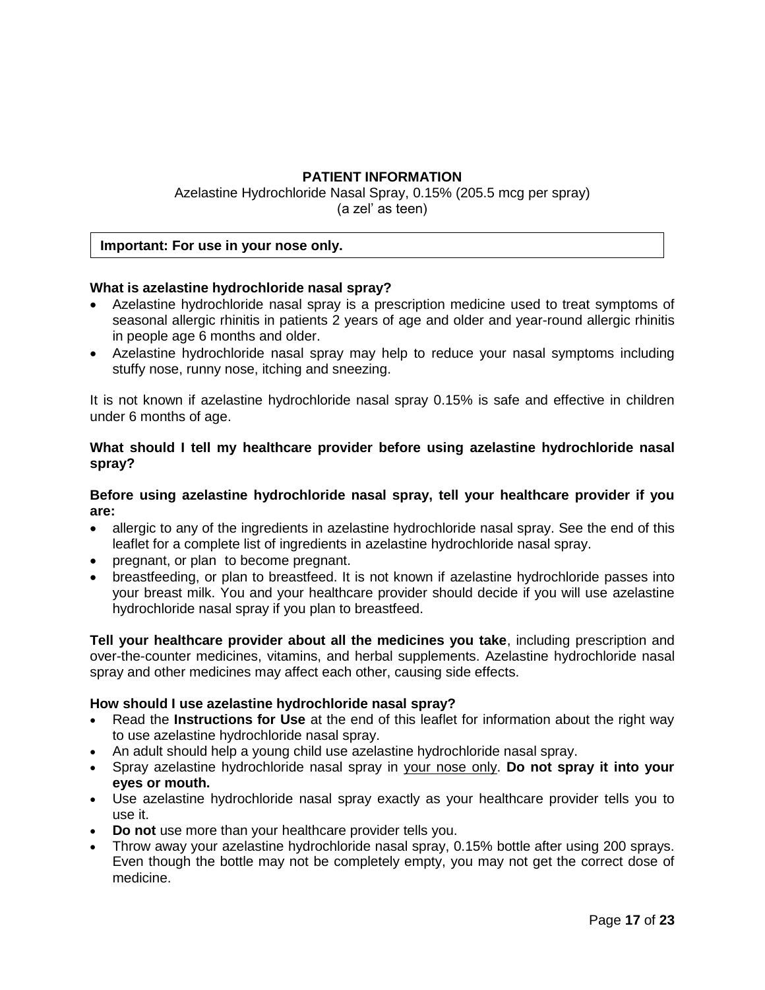# **PATIENT INFORMATION**

Azelastine Hydrochloride Nasal Spray, 0.15% (205.5 mcg per spray) (a zel' as teen)

# **Important: For use in your nose only.**

# **What is azelastine hydrochloride nasal spray?**

- Azelastine hydrochloride nasal spray is a prescription medicine used to treat symptoms of seasonal allergic rhinitis in patients 2 years of age and older and year-round allergic rhinitis in people age 6 months and older.
- Azelastine hydrochloride nasal spray may help to reduce your nasal symptoms including stuffy nose, runny nose, itching and sneezing.

It is not known if azelastine hydrochloride nasal spray 0.15% is safe and effective in children under 6 months of age.

# **What should I tell my healthcare provider before using azelastine hydrochloride nasal spray?**

# **Before using azelastine hydrochloride nasal spray, tell your healthcare provider if you are:**

- allergic to any of the ingredients in azelastine hydrochloride nasal spray. See the end of this leaflet for a complete list of ingredients in azelastine hydrochloride nasal spray.
- pregnant, or plan to become pregnant.
- breastfeeding, or plan to breastfeed. It is not known if azelastine hydrochloride passes into your breast milk. You and your healthcare provider should decide if you will use azelastine hydrochloride nasal spray if you plan to breastfeed.

**Tell your healthcare provider about all the medicines you take**, including prescription and over-the-counter medicines, vitamins, and herbal supplements. Azelastine hydrochloride nasal spray and other medicines may affect each other, causing side effects.

# **How should I use azelastine hydrochloride nasal spray?**

- Read the **Instructions for Use** at the end of this leaflet for information about the right way to use azelastine hydrochloride nasal spray.
- An adult should help a young child use azelastine hydrochloride nasal spray.
- Spray azelastine hydrochloride nasal spray in your nose only. **Do not spray it into your eyes or mouth.**
- Use azelastine hydrochloride nasal spray exactly as your healthcare provider tells you to use it.
- **Do not** use more than your healthcare provider tells you.
- Throw away your azelastine hydrochloride nasal spray, 0.15% bottle after using 200 sprays. Even though the bottle may not be completely empty, you may not get the correct dose of medicine.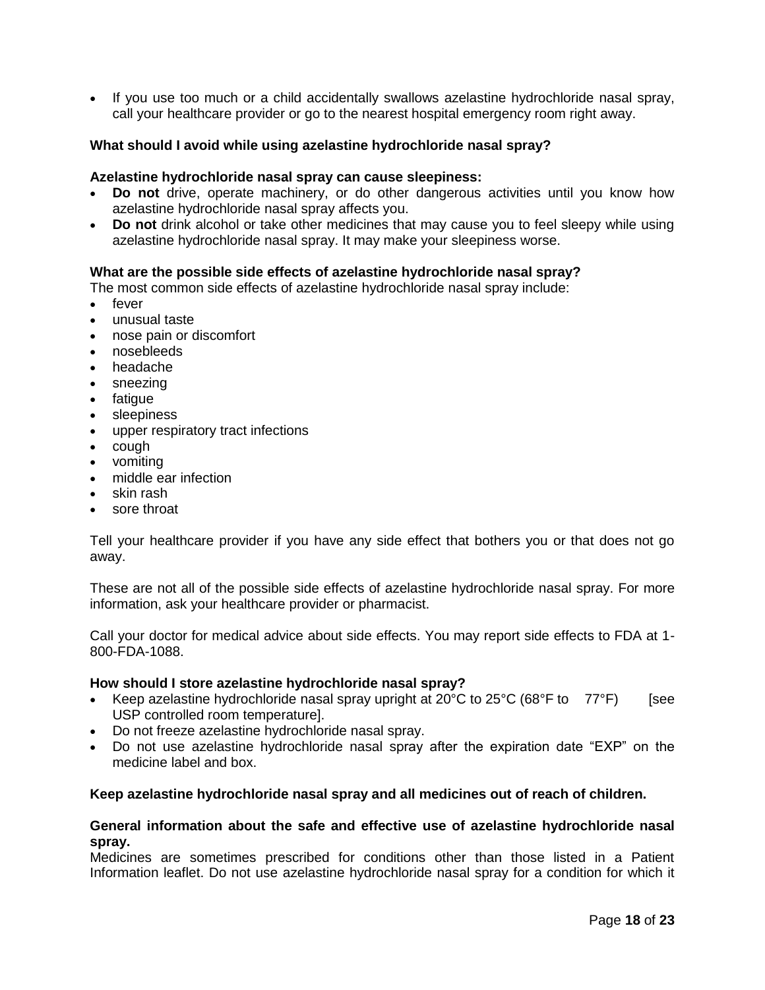• If you use too much or a child accidentally swallows azelastine hydrochloride nasal spray, call your healthcare provider or go to the nearest hospital emergency room right away.

# **What should I avoid while using azelastine hydrochloride nasal spray?**

### **Azelastine hydrochloride nasal spray can cause sleepiness:**

- **Do not** drive, operate machinery, or do other dangerous activities until you know how azelastine hydrochloride nasal spray affects you.
- **Do not** drink alcohol or take other medicines that may cause you to feel sleepy while using azelastine hydrochloride nasal spray. It may make your sleepiness worse.

# **What are the possible side effects of azelastine hydrochloride nasal spray?**

The most common side effects of azelastine hydrochloride nasal spray include:

- fever
- unusual taste
- nose pain or discomfort
- nosebleeds
- headache
- sneezing
- fatigue
- sleepiness
- upper respiratory tract infections
- cough
- vomiting
- middle ear infection
- skin rash
- sore throat

Tell your healthcare provider if you have any side effect that bothers you or that does not go away.

These are not all of the possible side effects of azelastine hydrochloride nasal spray. For more information, ask your healthcare provider or pharmacist.

Call your doctor for medical advice about side effects. You may report side effects to FDA at 1- 800-FDA-1088.

# **How should I store azelastine hydrochloride nasal spray?**

- Keep azelastine hydrochloride nasal spray upright at  $20^{\circ}$ C to  $25^{\circ}$ C (68°F to  $77^{\circ}$ F) [see USP controlled room temperature].
- Do not freeze azelastine hydrochloride nasal spray.
- Do not use azelastine hydrochloride nasal spray after the expiration date "EXP" on the medicine label and box.

# **Keep azelastine hydrochloride nasal spray and all medicines out of reach of children.**

# **General information about the safe and effective use of azelastine hydrochloride nasal spray.**

Medicines are sometimes prescribed for conditions other than those listed in a Patient Information leaflet. Do not use azelastine hydrochloride nasal spray for a condition for which it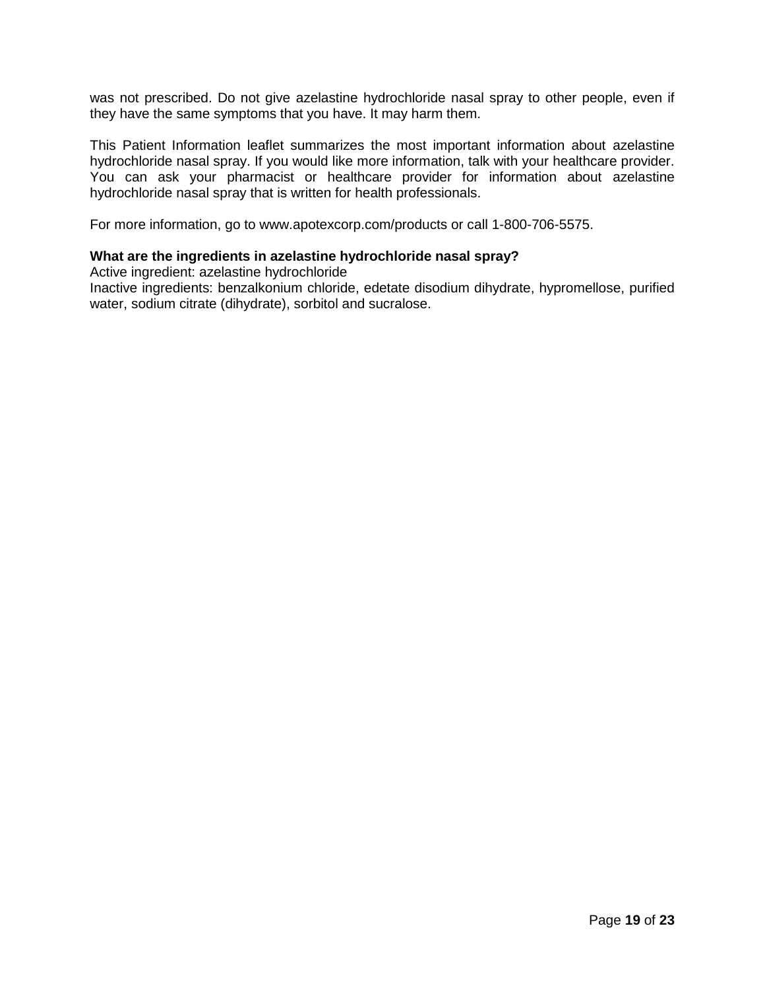was not prescribed. Do not give azelastine hydrochloride nasal spray to other people, even if they have the same symptoms that you have. It may harm them.

This Patient Information leaflet summarizes the most important information about azelastine hydrochloride nasal spray. If you would like more information, talk with your healthcare provider. You can ask your pharmacist or healthcare provider for information about azelastine hydrochloride nasal spray that is written for health professionals.

For more information, go to www.apotexcorp.com/products or call 1-800-706-5575.

# **What are the ingredients in azelastine hydrochloride nasal spray?**

Active ingredient: azelastine hydrochloride

Inactive ingredients: benzalkonium chloride, edetate disodium dihydrate, hypromellose, purified water, sodium citrate (dihydrate), sorbitol and sucralose.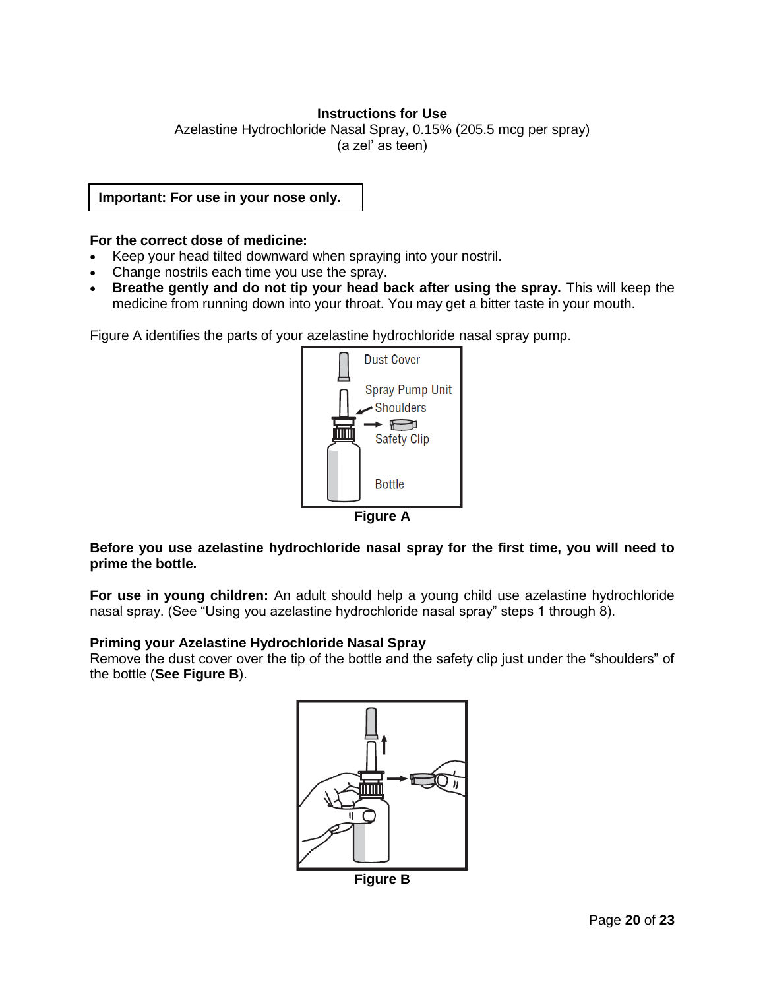# **Instructions for Use**

Azelastine Hydrochloride Nasal Spray, 0.15% (205.5 mcg per spray) (a zel' as teen)

**Important: For use in your nose only.**

### **For the correct dose of medicine:**

- Keep your head tilted downward when spraying into your nostril.
- Change nostrils each time you use the spray.
- **Breathe gently and do not tip your head back after using the spray.** This will keep the medicine from running down into your throat. You may get a bitter taste in your mouth.

Figure A identifies the parts of your azelastine hydrochloride nasal spray pump.



**Figure A**

**Before you use azelastine hydrochloride nasal spray for the first time, you will need to prime the bottle.** 

**For use in young children:** An adult should help a young child use azelastine hydrochloride nasal spray. (See "Using you azelastine hydrochloride nasal spray" steps 1 through 8).

#### **Priming your Azelastine Hydrochloride Nasal Spray**

Remove the dust cover over the tip of the bottle and the safety clip just under the "shoulders" of the bottle (**See Figure B**).



**Figure B**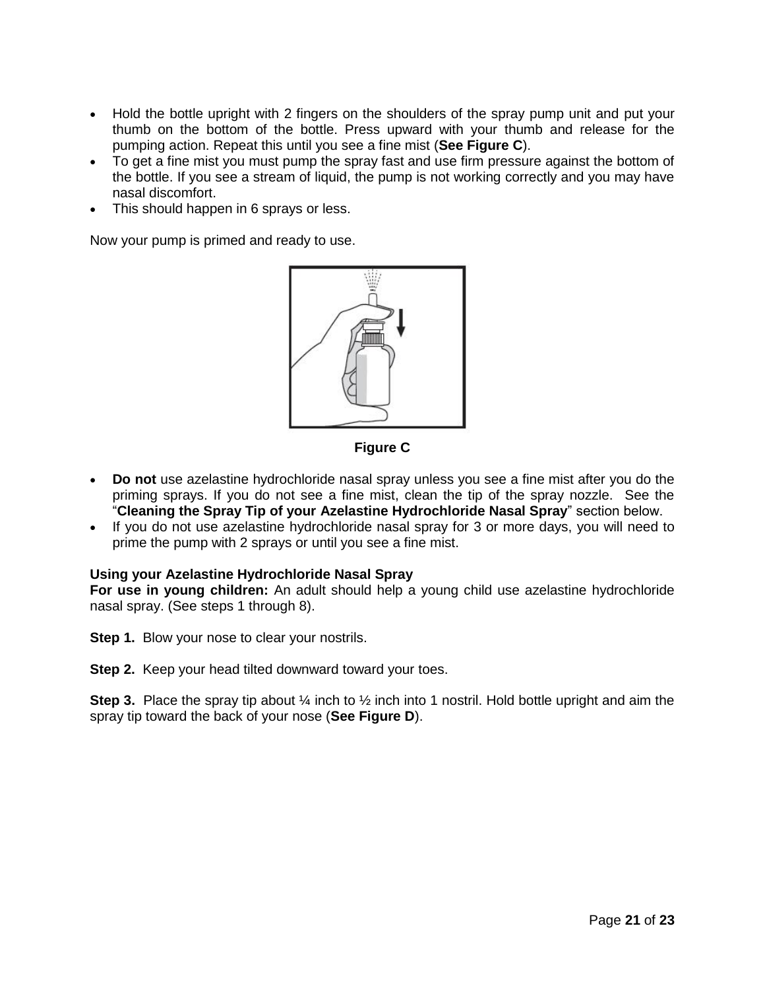- Hold the bottle upright with 2 fingers on the shoulders of the spray pump unit and put your thumb on the bottom of the bottle. Press upward with your thumb and release for the pumping action. Repeat this until you see a fine mist (**See Figure C**).
- To get a fine mist you must pump the spray fast and use firm pressure against the bottom of the bottle. If you see a stream of liquid, the pump is not working correctly and you may have nasal discomfort.
- This should happen in 6 sprays or less.

Now your pump is primed and ready to use.



**Figure C**

- **Do not** use azelastine hydrochloride nasal spray unless you see a fine mist after you do the priming sprays. If you do not see a fine mist, clean the tip of the spray nozzle. See the "**Cleaning the Spray Tip of your Azelastine Hydrochloride Nasal Spray**" section below.
- If you do not use azelastine hydrochloride nasal spray for 3 or more days, you will need to prime the pump with 2 sprays or until you see a fine mist.

# **Using your Azelastine Hydrochloride Nasal Spray**

**For use in young children:** An adult should help a young child use azelastine hydrochloride nasal spray. (See steps 1 through 8).

**Step 1.** Blow your nose to clear your nostrils.

**Step 2.** Keep your head tilted downward toward your toes.

**Step 3.** Place the spray tip about 1/4 inch to 1/2 inch into 1 nostril. Hold bottle upright and aim the spray tip toward the back of your nose (**See Figure D**).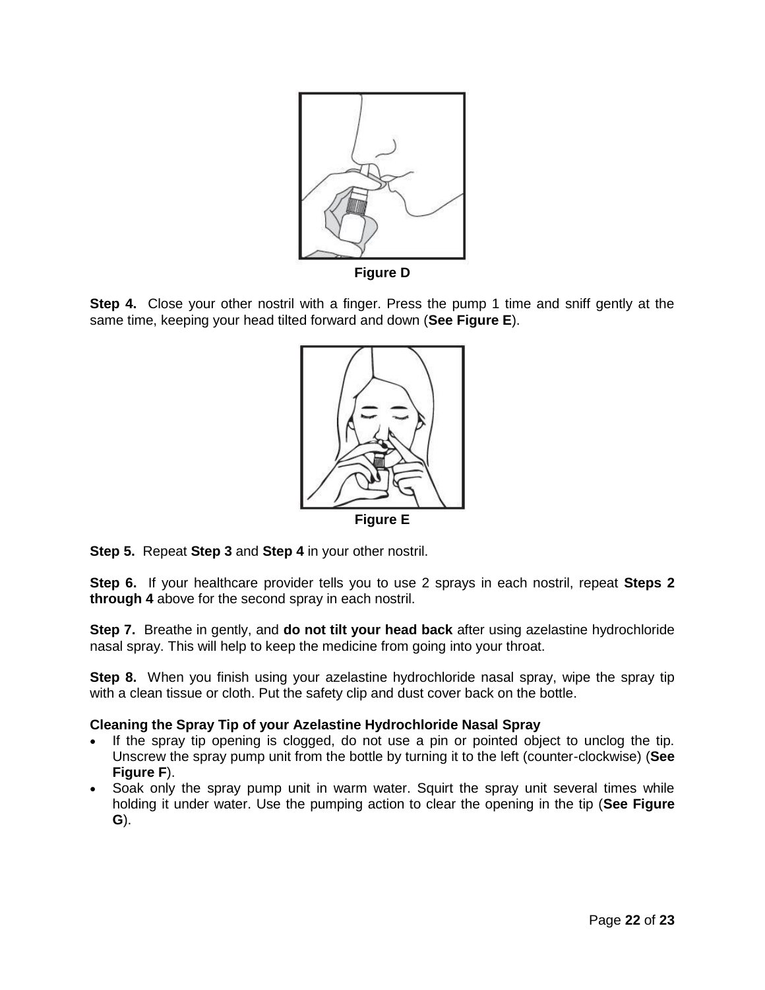

**Figure D**

**Step 4.** Close your other nostril with a finger. Press the pump 1 time and sniff gently at the same time, keeping your head tilted forward and down (**See Figure E**).



**Step 5.** Repeat **Step 3** and **Step 4** in your other nostril.

**Step 6.** If your healthcare provider tells you to use 2 sprays in each nostril, repeat **Steps 2 through 4** above for the second spray in each nostril.

**Step 7.** Breathe in gently, and **do not tilt your head back** after using azelastine hydrochloride nasal spray. This will help to keep the medicine from going into your throat.

**Step 8.** When you finish using your azelastine hydrochloride nasal spray, wipe the spray tip with a clean tissue or cloth. Put the safety clip and dust cover back on the bottle.

# **Cleaning the Spray Tip of your Azelastine Hydrochloride Nasal Spray**

- If the spray tip opening is clogged, do not use a pin or pointed object to unclog the tip. Unscrew the spray pump unit from the bottle by turning it to the left (counter-clockwise) (**See Figure F**).
- Soak only the spray pump unit in warm water. Squirt the spray unit several times while holding it under water. Use the pumping action to clear the opening in the tip (**See Figure G**).